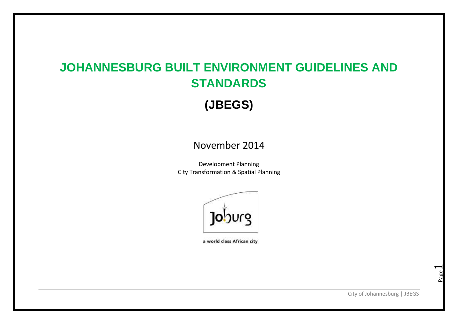# **JOHANNESBURG BUILT ENVIRONMENT GUIDELINES AND STANDARDS**

**(JBEGS)**

# November 2014

Development Planning City Transformation & Spatial Planning



a world class African city

City of Johannesburg | JBEGS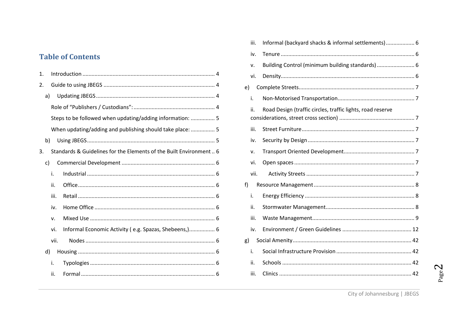### **Table of Contents**

| 1. |    |      |                                                                     |  |
|----|----|------|---------------------------------------------------------------------|--|
| 2. |    |      |                                                                     |  |
|    | a) |      |                                                                     |  |
|    |    |      |                                                                     |  |
|    |    |      | Steps to be followed when updating/adding information:  5           |  |
|    |    |      | When updating/adding and publishing should take place:  5           |  |
|    | b) |      |                                                                     |  |
| 3. |    |      | Standards & Guidelines for the Elements of the Built Environment  6 |  |
|    | c) |      |                                                                     |  |
|    |    | i.   |                                                                     |  |
|    |    | ii.  |                                                                     |  |
|    |    | iii. |                                                                     |  |
|    |    | iv.  |                                                                     |  |
|    |    | v.   |                                                                     |  |
|    |    | vi.  | Informal Economic Activity (e.g. Spazas, Shebeens,) 6               |  |
|    |    | vii. |                                                                     |  |
|    | d) |      |                                                                     |  |
|    |    | i.   |                                                                     |  |
|    |    | ii.  |                                                                     |  |

|    | iii. | Informal (backyard shacks & informal settlements) 6        |  |
|----|------|------------------------------------------------------------|--|
|    | iv.  |                                                            |  |
|    | ٧.   | Building Control (minimum building standards)  6           |  |
|    | vi.  |                                                            |  |
| e) |      |                                                            |  |
|    | i.   |                                                            |  |
|    | ii.  | Road Design (traffic circles, traffic lights, road reserve |  |
|    | iii. |                                                            |  |
|    | iv.  |                                                            |  |
|    | v.   |                                                            |  |
|    | vi.  |                                                            |  |
|    | vii. |                                                            |  |
| f) |      |                                                            |  |
|    | i.   |                                                            |  |
|    | ii.  |                                                            |  |
|    | iii. |                                                            |  |
|    | iv.  |                                                            |  |
| g) |      |                                                            |  |
|    | i.   |                                                            |  |
|    | ii.  |                                                            |  |
|    | iii. |                                                            |  |
|    |      |                                                            |  |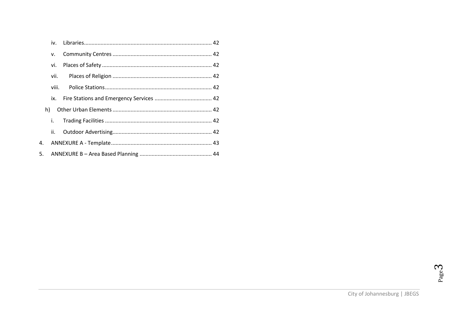|    | iv.   |  |
|----|-------|--|
|    | v.    |  |
|    | vi.   |  |
|    | vii.  |  |
|    | viii. |  |
|    | ix.   |  |
| h) |       |  |
|    | i.    |  |
|    | ii.   |  |
| 4. |       |  |
| 5. |       |  |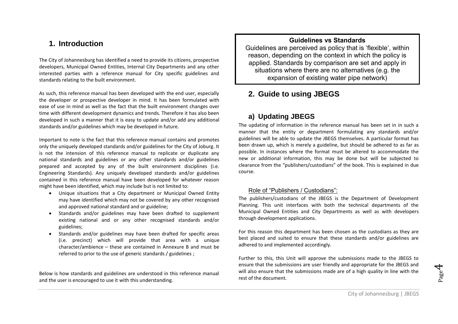#### <span id="page-3-0"></span>**1. Introduction**

The City of Johannesburg has identified a need to provide its citizens, prospective developers, Municipal Owned Entities, Internal City Departments and any other interested parties with a reference manual for City specific guidelines and standards relating to the built environment.

As such, this reference manual has been developed with the end user, especially the developer or prospective developer in mind. It has been formulated with ease of use in mind as well as the fact that the built environment changes over time with different development dynamics and trends. Therefore it has also been developed in such a manner that it is easy to update and/or add any additional standards and/or guidelines which may be developed in future.

Important to note is the fact that this reference manual contains and promotes only the uniquely developed standards and/or guidelines for the City of Joburg. It is not the intension of this reference manual to replicate or duplicate any national standards and guidelines or any other standards and/or guidelines prepared and accepted by any of the built environment disciplines (i.e. Engineering Standards). Any uniquely developed standards and/or guidelines contained in this reference manual have been developed for whatever reason might have been identified, which may include but is not limited to:

- Unique situations that a City department or Municipal Owned Entity may have identified which may not be covered by any other recognised and approved national standard and or guideline;
- Standards and/or guidelines may have been drafted to supplement existing national and or any other recognised standards and/or guidelines;
- Standards and/or guidelines may have been drafted for specific areas (i.e. precinct) which will provide that area with a unique character/ambience – these are contained in Annexure B and must be referred to prior to the use of generic standards / guidelines ;

Below is how standards and guidelines are understood in this reference manual and the user is encouraged to use it with this understanding.

#### **Guidelines vs Standards**

Guidelines are perceived as policy that is 'flexible', within reason, depending on the context in which the policy is applied. Standards by comparison are set and apply in situations where there are no alternatives (e.g. the expansion of existing water pipe network)

### <span id="page-3-1"></span>**2. Guide to using JBEGS**

#### <span id="page-3-2"></span>**a) Updating JBEGS**

The updating of information in the reference manual has been set in in such a manner that the entity or department formulating any standards and/or guidelines will be able to update the JBEGS themselves. A particular format has been drawn up, which is merely a guideline, but should be adhered to as far as possible. In instances where the format must be altered to accommodate the new or additional information, this may be done but will be subjected to clearance from the "publishers/custodians" of the book. This is explained in due course.

#### <span id="page-3-3"></span>Role of "Publishers / Custodians":

The publishers/custodians of the JBEGS is the Department of Development Planning. This unit interfaces with both the technical departments of the Municipal Owned Entities and City Departments as well as with developers through development applications.

For this reason this department has been chosen as the custodians as they are best placed and suited to ensure that these standards and/or guidelines are adhered to and implemented accordingly.

Further to this, this Unit will approve the submissions made to the JBEGS to ensure that the submissions are user friendly and appropriate for the JBEGS and will also ensure that the submissions made are of a high quality in line with the rest of the document.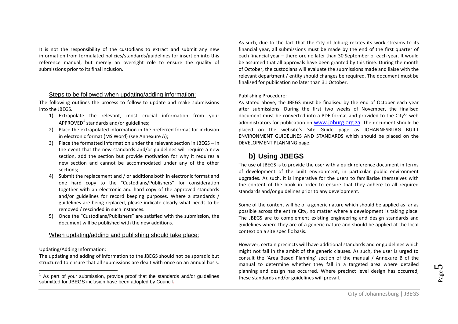It is not the responsibility of the custodians to extract and submit any new information from formulated policies/standards/guidelines for insertion into this reference manual, but merely an oversight role to ensure the quality of submissions prior to its final inclusion.

#### <span id="page-4-0"></span>Steps to be followed when updating/adding information:

The following outlines the process to follow to update and make submissions into the JBEGS.

- 1) Extrapolate the relevant, most crucial information from your APPROVED $^1$  standards and/or guidelines;
- 2) Place the extrapolated information in the preferred format for inclusion in electronic format (MS Word) (see Annexure A);
- 3) Place the formatted information under the relevant section in JBEGS in the event that the new standards and/or guidelines will require a new section, add the section but provide motivation for why it requires a new section and cannot be accommodated under any of the other sections;
- 4) Submit the replacement and / or additions both in electronic format and one hard copy to the "Custodians/Publishers" for consideration together with an electronic and hard copy of the approved standards and/or guidelines for record keeping purposes. Where a standards / guidelines are being replaced, please indicate clearly what needs to be removed / rescinded in such instances.
- 5) Once the "Custodians/Publishers" are satisfied with the submission, the document will be published with the new additions.

#### <span id="page-4-1"></span>When updating/adding and publishing should take place:

Updating/Adding Information:

 $\overline{a}$ 

The updating and adding of information to the JBEGS should not be sporadic but structured to ensure that all submissions are dealt with once on an annual basis. As such, due to the fact that the City of Joburg relates its work streams to its financial year, all submissions must be made by the end of the first quarter of each financial year – therefore no later than 30 September of each year. It would be assumed that all approvals have been granted by this time. During the month of October, the custodians will evaluate the submissions made and liaise with the relevant department / entity should changes be required. The document must be finalised for publication no later than 31 October.

#### Publishing Procedure:

As stated above, the JBEGS must be finalised by the end of October each year after submissions. During the first two weeks of November, the finalised document must be converted into a PDF format and provided to the City's web administrators for publication on [www.joburg.org.za](http://www.joburg.org.za/). The document should be placed on the website's Site Guide page as JOHANNESBURG BUILT ENVIRONMENT GUIDELINES AND STANDARDS which should be placed on the DEVELOPMENT PLANNING page.

#### <span id="page-4-2"></span>**b) Using JBEGS**

The use of JBEGS is to provide the user with a quick reference document in terms of development of the built environment, in particular public environment upgrades. As such, it is imperative for the users to familiarise themselves with the content of the book in order to ensure that they adhere to all required standards and/or guidelines prior to any development.

Some of the content will be of a generic nature which should be applied as far as possible across the entire City, no matter where a development is taking place. The JBEGS are to complement existing engineering and design standards and guidelines where they are of a generic nature and should be applied at the local context on a site specific basis.

However, certain precincts will have additional standards and or guidelines which might not fall in the ambit of the generic clauses. As such, the user is urged to consult the 'Area Based Planning' section of the manual / Annexure B of the manual to determine whether they fall in a targeted area where detailed planning and design has occurred. Where precinct level design has occurred, these standards and/or guidelines will prevail.

<sup>1</sup> As part of your submission, provide proof that the standards and/or guidelines submitted for JBEGS inclusion have been adopted by Council**.**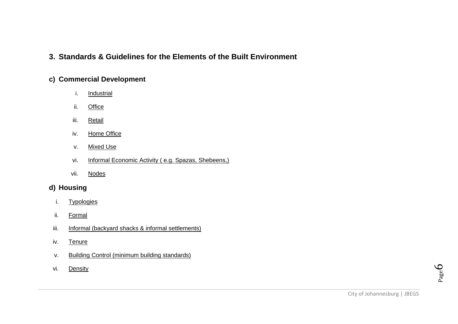### <span id="page-5-0"></span>**3. Standards & Guidelines for the Elements of the Built Environment**

#### <span id="page-5-3"></span><span id="page-5-2"></span><span id="page-5-1"></span>**c) Commercial Development**

- i. Industrial
- ii. Office
- <span id="page-5-4"></span>iii. Retail
- <span id="page-5-6"></span><span id="page-5-5"></span>iv. Home Office
- v. Mixed Use
- vi. Informal Economic Activity ( e.g. Spazas, Shebeens,)
- vii. Nodes

### <span id="page-5-10"></span><span id="page-5-9"></span><span id="page-5-8"></span><span id="page-5-7"></span>**d) Housing**

- i. Typologies
- <span id="page-5-11"></span>ii. Formal
- <span id="page-5-12"></span>iii. Informal (backyard shacks & informal settlements)
- <span id="page-5-14"></span><span id="page-5-13"></span>iv. Tenure
- v. Building Control (minimum building standards)
- <span id="page-5-15"></span>vi. Density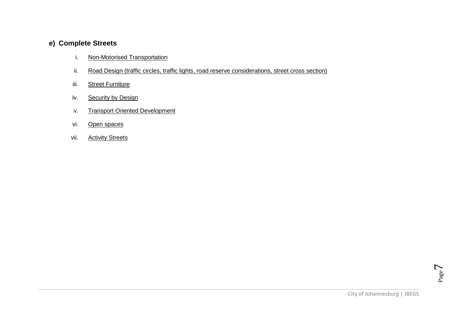### <span id="page-6-2"></span><span id="page-6-1"></span><span id="page-6-0"></span>**e) Complete Streets**

- i. Non-Motorised Transportation
- ii. Road Design (traffic circles, traffic lights, road reserve considerations, street cross section)
- <span id="page-6-3"></span>iii. Street Furniture
- <span id="page-6-5"></span><span id="page-6-4"></span>iv. Security by Design
- v. Transport Oriented Development
- <span id="page-6-6"></span>vi. Open spaces
- <span id="page-6-7"></span>vii. Activity Streets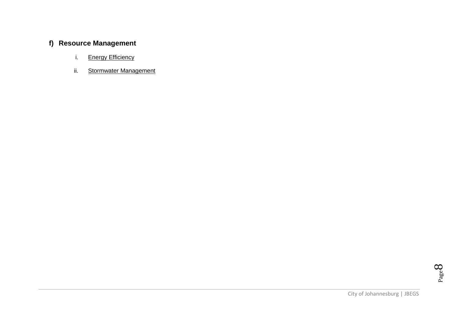# <span id="page-7-2"></span><span id="page-7-1"></span><span id="page-7-0"></span>**f) Resource Management**

- i. Energy Efficiency
- ii. Stormwater Management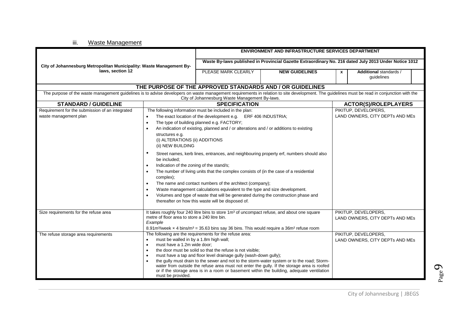iii. Waste Management

<span id="page-8-0"></span>

|                                                                                                                                                                                              |                                                       |                                                                                                                              | ENVIRONMENT AND INFRASTRUCTURE SERVICES DEPARTMENT                                                                                                                                       |                                                                                                       |                                 |
|----------------------------------------------------------------------------------------------------------------------------------------------------------------------------------------------|-------------------------------------------------------|------------------------------------------------------------------------------------------------------------------------------|------------------------------------------------------------------------------------------------------------------------------------------------------------------------------------------|-------------------------------------------------------------------------------------------------------|---------------------------------|
|                                                                                                                                                                                              |                                                       |                                                                                                                              |                                                                                                                                                                                          | Waste By-laws published in Provincial Gazette Extraordinary No. 216 dated July 2013 Under Notice 1012 |                                 |
| City of Johannesburg Metropolitan Municipality: Waste Management By-                                                                                                                         |                                                       |                                                                                                                              |                                                                                                                                                                                          |                                                                                                       |                                 |
| laws. section 12                                                                                                                                                                             |                                                       | PLEASE MARK CLEARLY                                                                                                          | <b>NEW GUIDELINES</b>                                                                                                                                                                    | $\mathbf{x}$                                                                                          | Additional standards /          |
|                                                                                                                                                                                              |                                                       |                                                                                                                              |                                                                                                                                                                                          |                                                                                                       | guidelines                      |
|                                                                                                                                                                                              |                                                       |                                                                                                                              | THE PURPOSE OF THE APPROVED STANDARDS AND / OR GUIDELINES                                                                                                                                |                                                                                                       |                                 |
| The purpose of the waste management guidelines is to advise developers on waste management requirements in relation to site development. The guidelines must be read in conjunction with the |                                                       |                                                                                                                              |                                                                                                                                                                                          |                                                                                                       |                                 |
|                                                                                                                                                                                              |                                                       | City of Johannesburg Waste Management By-laws.                                                                               |                                                                                                                                                                                          |                                                                                                       |                                 |
| <b>STANDARD / GUIDELINE</b>                                                                                                                                                                  |                                                       | <b>SPECIFICATION</b>                                                                                                         |                                                                                                                                                                                          |                                                                                                       | <b>ACTOR(S)/ROLEPLAYERS</b>     |
| Requirement for the submission of an integrated                                                                                                                                              |                                                       | The following information must be included in the plan:                                                                      |                                                                                                                                                                                          |                                                                                                       | PIKITUP, DEVELOPERS,            |
| waste management plan                                                                                                                                                                        |                                                       | The exact location of the development e.g. ERF 406 INDUSTRIA;                                                                |                                                                                                                                                                                          |                                                                                                       | LAND OWNERS, CITY DEPTs AND MEs |
|                                                                                                                                                                                              | $\bullet$                                             | The type of building planned e.g. FACTORY;                                                                                   |                                                                                                                                                                                          |                                                                                                       |                                 |
|                                                                                                                                                                                              |                                                       | An indication of existing, planned and / or alterations and / or additions to existing                                       |                                                                                                                                                                                          |                                                                                                       |                                 |
|                                                                                                                                                                                              | structures e.g.                                       |                                                                                                                              |                                                                                                                                                                                          |                                                                                                       |                                 |
|                                                                                                                                                                                              | (i) ALTERATIONS (ii) ADDITIONS                        |                                                                                                                              |                                                                                                                                                                                          |                                                                                                       |                                 |
|                                                                                                                                                                                              | (ii) NEW BUILDING                                     |                                                                                                                              |                                                                                                                                                                                          |                                                                                                       |                                 |
|                                                                                                                                                                                              | $\bullet$                                             |                                                                                                                              | Street names, kerb lines, entrances, and neighbouring property erf, numbers should also                                                                                                  |                                                                                                       |                                 |
|                                                                                                                                                                                              | be included;                                          |                                                                                                                              |                                                                                                                                                                                          |                                                                                                       |                                 |
|                                                                                                                                                                                              | Indication of the zoning of the stand/s;<br>$\bullet$ |                                                                                                                              |                                                                                                                                                                                          |                                                                                                       |                                 |
|                                                                                                                                                                                              | $\bullet$                                             | The number of living units that the complex consists of (in the case of a residential                                        |                                                                                                                                                                                          |                                                                                                       |                                 |
|                                                                                                                                                                                              | complex);                                             |                                                                                                                              |                                                                                                                                                                                          |                                                                                                       |                                 |
|                                                                                                                                                                                              | $\bullet$                                             | The name and contact numbers of the architect (company);                                                                     |                                                                                                                                                                                          |                                                                                                       |                                 |
|                                                                                                                                                                                              | $\bullet$                                             | Waste management calculations equivalent to the type and size development.                                                   |                                                                                                                                                                                          |                                                                                                       |                                 |
|                                                                                                                                                                                              | $\bullet$                                             | Volumes and type of waste that will be generated during the construction phase and                                           |                                                                                                                                                                                          |                                                                                                       |                                 |
|                                                                                                                                                                                              |                                                       | thereafter on how this waste will be disposed of.                                                                            |                                                                                                                                                                                          |                                                                                                       |                                 |
| Size requirements for the refuse area                                                                                                                                                        |                                                       | It takes roughly four 240 litre bins to store 1m <sup>3</sup> of uncompact refuse, and about one square                      |                                                                                                                                                                                          |                                                                                                       | PIKITUP, DEVELOPERS,            |
|                                                                                                                                                                                              | metre of floor area to store a 240 litre bin.         |                                                                                                                              |                                                                                                                                                                                          |                                                                                                       | LAND OWNERS, CITY DEPTs AND MEs |
|                                                                                                                                                                                              | Example                                               |                                                                                                                              |                                                                                                                                                                                          |                                                                                                       |                                 |
|                                                                                                                                                                                              |                                                       | 8.91m <sup>3</sup> /week x 4 bins/m <sup>3</sup> = 35.63 bins say 36 bins. This would require a 36m <sup>2</sup> refuse room |                                                                                                                                                                                          |                                                                                                       |                                 |
| The refuse storage area requirements                                                                                                                                                         |                                                       | The following are the requirements for the refuse area:                                                                      |                                                                                                                                                                                          |                                                                                                       | PIKITUP, DEVELOPERS,            |
|                                                                                                                                                                                              | must be walled in by a 1.8m high wall;<br>$\bullet$   |                                                                                                                              |                                                                                                                                                                                          |                                                                                                       | LAND OWNERS, CITY DEPTs AND MEs |
|                                                                                                                                                                                              | must have a 1.2m wide door;<br>$\bullet$              |                                                                                                                              |                                                                                                                                                                                          |                                                                                                       |                                 |
|                                                                                                                                                                                              |                                                       | the door must be solid so that the refuse is not visible:                                                                    |                                                                                                                                                                                          |                                                                                                       |                                 |
|                                                                                                                                                                                              | $\bullet$                                             | must have a tap and floor level drainage gully (wash-down gully);                                                            |                                                                                                                                                                                          |                                                                                                       |                                 |
|                                                                                                                                                                                              | $\bullet$                                             |                                                                                                                              | the gully must drain to the sewer and not to the storm-water system or to the road; Storm-<br>water from outside the refuse area must not enter the gully. If the storage area is roofed |                                                                                                       |                                 |
|                                                                                                                                                                                              |                                                       |                                                                                                                              | or if the storage area is in a room or basement within the building, adequate ventilation                                                                                                |                                                                                                       |                                 |
|                                                                                                                                                                                              | must be provided.                                     |                                                                                                                              |                                                                                                                                                                                          |                                                                                                       |                                 |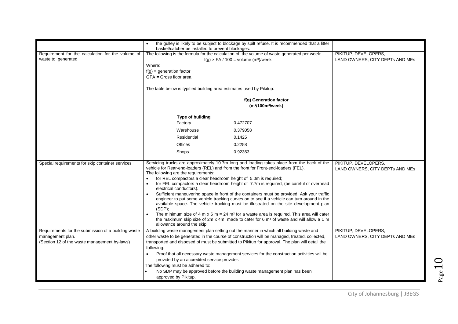|                                                                         | the gulley is likely to be subject to blockage by spilt refuse. It is recommended that a litter<br>basket/catcher be installed to prevent blockages.                                                                                                                                                                                                                                                                                                                                                                                                                                                                                                                                                                                                                                                                                                                                                                                                                       |                                                         |
|-------------------------------------------------------------------------|----------------------------------------------------------------------------------------------------------------------------------------------------------------------------------------------------------------------------------------------------------------------------------------------------------------------------------------------------------------------------------------------------------------------------------------------------------------------------------------------------------------------------------------------------------------------------------------------------------------------------------------------------------------------------------------------------------------------------------------------------------------------------------------------------------------------------------------------------------------------------------------------------------------------------------------------------------------------------|---------------------------------------------------------|
| Requirement for the calculation for the volume of<br>waste to generated | The following is the formula for the calculation of the volume of waste generated per week:<br>$f(g) \times FA / 100 = volume (m3)/week$<br>Where:<br>$f(g)$ = generation factor<br>$GFA = Gross$ floor area                                                                                                                                                                                                                                                                                                                                                                                                                                                                                                                                                                                                                                                                                                                                                               | PIKITUP, DEVELOPERS,<br>LAND OWNERS, CITY DEPTs AND MEs |
|                                                                         | The table below is typified building area estimates used by Pikitup:                                                                                                                                                                                                                                                                                                                                                                                                                                                                                                                                                                                                                                                                                                                                                                                                                                                                                                       |                                                         |
|                                                                         | f(g) Generation factor<br>(m <sup>3</sup> /100m <sup>2</sup> /week)                                                                                                                                                                                                                                                                                                                                                                                                                                                                                                                                                                                                                                                                                                                                                                                                                                                                                                        |                                                         |
|                                                                         | Type of building<br>0.472707<br>Factory                                                                                                                                                                                                                                                                                                                                                                                                                                                                                                                                                                                                                                                                                                                                                                                                                                                                                                                                    |                                                         |
|                                                                         | Warehouse<br>0.379058                                                                                                                                                                                                                                                                                                                                                                                                                                                                                                                                                                                                                                                                                                                                                                                                                                                                                                                                                      |                                                         |
|                                                                         | Residential<br>0.1425                                                                                                                                                                                                                                                                                                                                                                                                                                                                                                                                                                                                                                                                                                                                                                                                                                                                                                                                                      |                                                         |
|                                                                         | <b>Offices</b><br>0.2258                                                                                                                                                                                                                                                                                                                                                                                                                                                                                                                                                                                                                                                                                                                                                                                                                                                                                                                                                   |                                                         |
|                                                                         | 0.92353<br>Shops                                                                                                                                                                                                                                                                                                                                                                                                                                                                                                                                                                                                                                                                                                                                                                                                                                                                                                                                                           |                                                         |
| Special requirements for skip container services                        | Servicing trucks are approximately 10.7m long and loading takes place from the back of the<br>vehicle for Rear-end-loaders (REL) and from the front for Front-end-loaders (FEL).<br>The following are the requirements:<br>for REL compactors a clear headroom height of 5.0m is required;<br>for FEL compactors a clear headroom height of 7.7m is required, (be careful of overhead<br>$\bullet$<br>electrical conductors).<br>Sufficient maneuvering space in front of the containers must be provided. Ask your traffic<br>engineer to put some vehicle tracking curves on to see if a vehicle can turn around in the<br>available space. The vehicle tracking must be illustrated on the site development plan<br>$(SDP)$ ;<br>The minimum size of 4 m x 6 m = 24 m <sup>2</sup> for a waste area is required. This area will cater<br>the maximum skip size of 2m x 4m, made to cater for 6 $\text{m}^3$ of waste and will allow a 1 m<br>allowance around the skip. | PIKITUP, DEVELOPERS,<br>LAND OWNERS, CITY DEPTs AND MEs |
| Requirements for the submission of a building waste                     | A building waste management plan setting out the manner in which all building waste and                                                                                                                                                                                                                                                                                                                                                                                                                                                                                                                                                                                                                                                                                                                                                                                                                                                                                    | PIKITUP, DEVELOPERS,                                    |
| management plan.<br>(Section 12 of the waste management by-laws)        | other waste to be generated in the course of construction will be managed, treated, collected,<br>transported and disposed of must be submitted to Pikitup for approval. The plan will detail the<br>following:                                                                                                                                                                                                                                                                                                                                                                                                                                                                                                                                                                                                                                                                                                                                                            | LAND OWNERS, CITY DEPTs AND MEs                         |
|                                                                         | Proof that all necessary waste management services for the construction activities will be<br>provided by an accredited service provider.<br>The following must be adhered to:<br>No SDP may be approved before the building waste management plan has been<br>approved by Pikitup.                                                                                                                                                                                                                                                                                                                                                                                                                                                                                                                                                                                                                                                                                        |                                                         |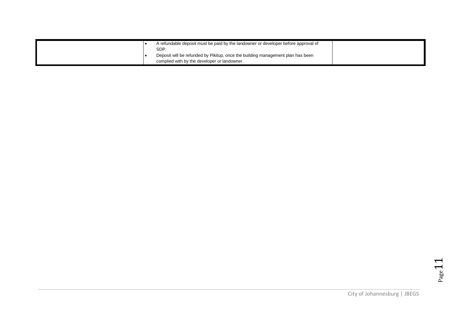|  | A refundable deposit must be paid by the landowner or developer before approval of      |  |
|--|-----------------------------------------------------------------------------------------|--|
|  | SDP.<br>Deposit will be refunded by Pikitup, once the building management plan has been |  |
|  | complied with by the developer or landowner.                                            |  |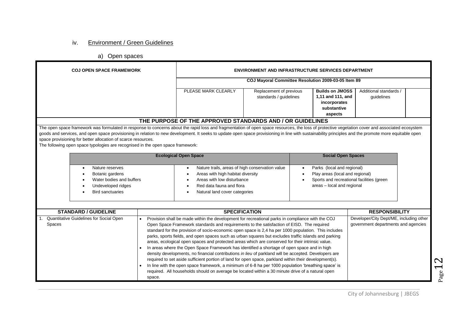#### iv. Environment / Green Guidelines

a) Open spaces

<span id="page-11-0"></span>

| <b>COJ OPEN SPACE FRAMEWORK</b>                                                                                                                                                                                                                                                                                                                                                                           |                                                     | <b>ENVIRONMENT AND INFRASTRUCTURE SERVICES DEPARTMENT</b>                                                                                                                                                                                                                                                                                                                                                                                                                                                                                                                                                                                                                                                                                                                                                                                                                                                                                                                                                                                      |                                                   |                                                                                                                                                                                 |                                                                                |  |
|-----------------------------------------------------------------------------------------------------------------------------------------------------------------------------------------------------------------------------------------------------------------------------------------------------------------------------------------------------------------------------------------------------------|-----------------------------------------------------|------------------------------------------------------------------------------------------------------------------------------------------------------------------------------------------------------------------------------------------------------------------------------------------------------------------------------------------------------------------------------------------------------------------------------------------------------------------------------------------------------------------------------------------------------------------------------------------------------------------------------------------------------------------------------------------------------------------------------------------------------------------------------------------------------------------------------------------------------------------------------------------------------------------------------------------------------------------------------------------------------------------------------------------------|---------------------------------------------------|---------------------------------------------------------------------------------------------------------------------------------------------------------------------------------|--------------------------------------------------------------------------------|--|
|                                                                                                                                                                                                                                                                                                                                                                                                           | COJ Mayoral Committee Resolution 2009-03-05 Item 89 |                                                                                                                                                                                                                                                                                                                                                                                                                                                                                                                                                                                                                                                                                                                                                                                                                                                                                                                                                                                                                                                |                                                   |                                                                                                                                                                                 |                                                                                |  |
|                                                                                                                                                                                                                                                                                                                                                                                                           |                                                     | PLEASE MARK CLEARLY                                                                                                                                                                                                                                                                                                                                                                                                                                                                                                                                                                                                                                                                                                                                                                                                                                                                                                                                                                                                                            | Replacement of previous<br>standards / guidelines | <b>Builds on JMOSS</b><br>1,11 and 111, and<br>incorporates<br>substantive<br>aspects                                                                                           | Additional standards /<br>quidelines                                           |  |
| The open space framework was formulated in response to concerns about the rapid loss and fragmentation of open space resources, the loss of protective vegetation cover and associated ecosystem<br>goods and services, and open space provisioning in relation to new development. It seeks to update open space provisioning in line with sustainability principles and the promote more equitable open |                                                     | THE PURPOSE OF THE APPROVED STANDARDS AND / OR GUIDELINES                                                                                                                                                                                                                                                                                                                                                                                                                                                                                                                                                                                                                                                                                                                                                                                                                                                                                                                                                                                      |                                                   |                                                                                                                                                                                 |                                                                                |  |
| space provisioning for better allocation of scarce resources.<br>The following open space typologies are recognised in the open space framework:                                                                                                                                                                                                                                                          |                                                     |                                                                                                                                                                                                                                                                                                                                                                                                                                                                                                                                                                                                                                                                                                                                                                                                                                                                                                                                                                                                                                                |                                                   |                                                                                                                                                                                 |                                                                                |  |
|                                                                                                                                                                                                                                                                                                                                                                                                           |                                                     | <b>Ecological Open Space</b>                                                                                                                                                                                                                                                                                                                                                                                                                                                                                                                                                                                                                                                                                                                                                                                                                                                                                                                                                                                                                   | <b>Social Open Spaces</b>                         |                                                                                                                                                                                 |                                                                                |  |
| Nature reserves<br>$\bullet$<br>Botanic gardens<br>Water bodies and buffers<br>Undeveloped ridges<br><b>Bird sanctuaries</b>                                                                                                                                                                                                                                                                              |                                                     | Nature trails, areas of high conservation value<br>$\bullet$<br>Areas with high habitat diversity<br>Areas with low disturbance<br>Red data fauna and flora<br>Natural land cover categories                                                                                                                                                                                                                                                                                                                                                                                                                                                                                                                                                                                                                                                                                                                                                                                                                                                   |                                                   | Parks (local and regional)<br>$\bullet$<br>Play areas (local and regional)<br>$\bullet$<br>Sports and recreational facilities (green<br>$\bullet$<br>areas - local and regional |                                                                                |  |
| <b>STANDARD / GUIDELINE</b>                                                                                                                                                                                                                                                                                                                                                                               |                                                     | <b>SPECIFICATION</b>                                                                                                                                                                                                                                                                                                                                                                                                                                                                                                                                                                                                                                                                                                                                                                                                                                                                                                                                                                                                                           |                                                   |                                                                                                                                                                                 | <b>RESPONSIBILITY</b>                                                          |  |
| Quantitative Guidelines for Social Open<br>Spaces                                                                                                                                                                                                                                                                                                                                                         | space.                                              | Provision shall be made within the development for recreational parks in compliance with the COJ<br>Open Space Framework standards and requirements to the satisfaction of EISD. The required<br>standard for the provision of socio-economic open space is 2,4 ha per 1000 population. This includes<br>parks, sports fields, and open spaces such as urban squares but excludes traffic islands and parking<br>areas, ecological open spaces and protected areas which are conserved for their intrinsic value.<br>In areas where the Open Space Framework has identified a shortage of open space and in high<br>density developments, no financial contributions in lieu of parkland will be accepted. Developers are<br>required to set aside sufficient portion of land for open space, parkland within their development(s).<br>In line with the open space framework, a minimum of 6-8 ha per 1000 population 'breathing space' is<br>required. All households should on average be located within a 30 minute drive of a natural open |                                                   |                                                                                                                                                                                 | Developer/City Dept/ME, including other<br>government departments and agencies |  |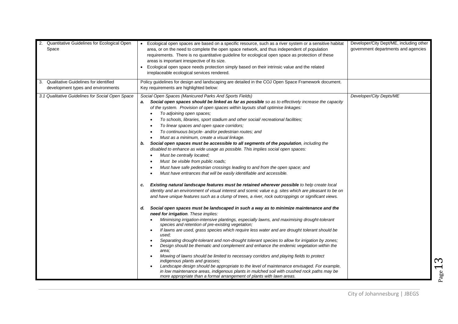| 2. Quantitative Guidelines for Ecological Open<br>Space<br>Qualitative Guidelines for identified<br>3.<br>development types and environments | Ecological open spaces are based on a specific resource, such as a river system or a sensitive habitat<br>area, or on the need to complete the open space network, and thus independent of population<br>requirements. There is no quantitative guideline for ecological open space as protection of these<br>areas is important irrespective of its size.<br>Ecological open space needs protection simply based on their intrinsic value and the related<br>irreplaceable ecological services rendered.<br>Policy guidelines for design and landscaping are detailed in the COJ Open Space Framework document.<br>Key requirements are highlighted below:                                                                                                                                                                                                                                                                                                                                                                                                                                                                                                                                                                                                                                                                                                                                                                                                                                                                                                                                                                                                                                                                                                                                                                                                                                                                                                                                                                                                                                                                                                                                                                                                           | Developer/City Dept/ME, including other<br>government departments and agencies |
|----------------------------------------------------------------------------------------------------------------------------------------------|-----------------------------------------------------------------------------------------------------------------------------------------------------------------------------------------------------------------------------------------------------------------------------------------------------------------------------------------------------------------------------------------------------------------------------------------------------------------------------------------------------------------------------------------------------------------------------------------------------------------------------------------------------------------------------------------------------------------------------------------------------------------------------------------------------------------------------------------------------------------------------------------------------------------------------------------------------------------------------------------------------------------------------------------------------------------------------------------------------------------------------------------------------------------------------------------------------------------------------------------------------------------------------------------------------------------------------------------------------------------------------------------------------------------------------------------------------------------------------------------------------------------------------------------------------------------------------------------------------------------------------------------------------------------------------------------------------------------------------------------------------------------------------------------------------------------------------------------------------------------------------------------------------------------------------------------------------------------------------------------------------------------------------------------------------------------------------------------------------------------------------------------------------------------------------------------------------------------------------------------------------------------------|--------------------------------------------------------------------------------|
| 3.1 Qualitative Guidelines for Social Open Space                                                                                             | Social Open Spaces (Manicured Parks And Sports Fields)<br>Social open spaces should be linked as far as possible so as to effectively increase the capacity<br>a.<br>of the system. Provision of open spaces within layouts shall optimise linkages:<br>To adjoining open spaces;<br>To schools, libraries, sport stadium and other social/ recreational facilities;<br>To linear spaces and open space corridors;<br>To continuous bicycle- and/or pedestrian routes; and<br>Must as a minimum, create a visual linkage.<br>b. Social open spaces must be accessible to all segments of the population, including the<br>disabled to enhance as wide usage as possible. This implies social open spaces:<br>Must be centrally located;<br>Must be visible from public roads;<br>Must have safe pedestrian crossings leading to and from the open space; and<br>Must have entrances that will be easily identifiable and accessible.<br>Existing natural landscape features must be retained wherever possible to help create local<br>c.<br>identity and an environment of visual interest and scenic value e.g. sites which are pleasant to be on<br>and have unique features such as a clump of trees, a river, rock outcroppings or significant views.<br>Social open spaces must be landscaped in such a way as to minimize maintenance and the<br>d.<br>need for irrigation. These implies:<br>Minimising irrigation-intensive plantings, especially lawns, and maximising drought-tolerant<br>species and retention of pre-existing vegetation;<br>If lawns are used, grass species which require less water and are drought tolerant should be<br>used:<br>Separating drought-tolerant and non-drought tolerant species to allow for irrigation by zones;<br>Design should be thematic and complement and enhance the endemic vegetation within the<br>area:<br>Mowing of lawns should be limited to necessary corridors and playing fields to protect<br>indigenous plants and grasses;<br>Landscape design should be appropriate to the level of maintenance envisaged. For example,<br>in low maintenance areas, indigenous plants in mulched soil with crushed rock paths may be<br>more appropriate than a formal arrangement of plants with lawn areas. | Developer/City Depts/ME                                                        |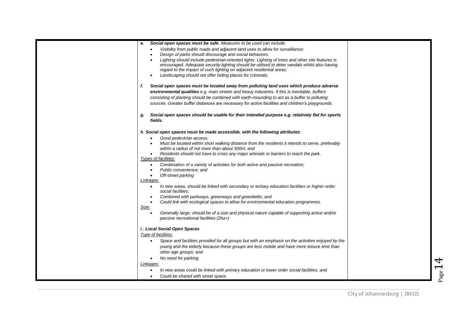| е. | Social open spaces must be safe. Measures to be used can include:                                                                                                                                |  |
|----|--------------------------------------------------------------------------------------------------------------------------------------------------------------------------------------------------|--|
|    | Visibility from public roads and adjacent land uses to allow for surveillance;<br>$\bullet$                                                                                                      |  |
|    | Design of parks should discourage anti-social behaviors;<br>$\bullet$<br>Lighting should include pedestrian-oriented lights. Lighting of trees and other site features is<br>$\bullet$           |  |
|    | encouraged. Adequate security lighting should be utilised to deter vandals whilst also having                                                                                                    |  |
|    | regard to the impact of such lighting on adjacent residential areas;                                                                                                                             |  |
|    | Landscaping should not offer hiding places for criminals.<br>$\bullet$                                                                                                                           |  |
| f. | Social open spaces must be located away from polluting land uses which produce adverse                                                                                                           |  |
|    | environmental qualities e.g. main streets and heavy industries. If this is inevitable, buffers                                                                                                   |  |
|    | consisting of planting should be combined with earth-mounding to act as a buffer to polluting                                                                                                    |  |
|    | sources. Greater buffer distances are necessary for active facilities and children's playgrounds.                                                                                                |  |
| g. | Social open spaces should be usable for their intended purpose e.g. relatively flat for sports                                                                                                   |  |
|    | fields.                                                                                                                                                                                          |  |
|    | h. Social open spaces must be made accessible, with the following attributes:                                                                                                                    |  |
|    | Good pedestrian access:<br>$\bullet$                                                                                                                                                             |  |
|    | Must be located within short walking distance from the residents it intends to serve, preferably<br>$\bullet$<br>within a radius of not more than about 500m; and                                |  |
|    | Residents should not have to cross any major arterials or barriers to reach the park.<br>$\bullet$                                                                                               |  |
|    | Types of facilities:                                                                                                                                                                             |  |
|    | Combination of a variety of activities for both active and passive recreation;<br>$\bullet$                                                                                                      |  |
|    | Public convenience; and<br>$\bullet$                                                                                                                                                             |  |
|    | Off-street parking<br>$\bullet$<br><u> Linkages:</u>                                                                                                                                             |  |
|    | In new areas, should be linked with secondary or tertiary education facilities or higher order<br>$\bullet$<br>social facilities:                                                                |  |
|    | Combined with parkways, greenways and greenbelts; and<br>$\bullet$                                                                                                                               |  |
|    | Could link with ecological spaces to allow for environmental education programmes.<br>$\bullet$                                                                                                  |  |
|    | Size:                                                                                                                                                                                            |  |
|    | Generally large: should be of a size and physical nature capable of supporting active and/or<br>$\bullet$<br>passive recreational facilities (2ha+)                                              |  |
|    |                                                                                                                                                                                                  |  |
|    | <i>i.</i> Local Social Open Spaces<br>Type of facilities:                                                                                                                                        |  |
|    | $\bullet$                                                                                                                                                                                        |  |
|    | Space and facilities provided for all groups but with an emphasis on the activities enjoyed by the<br>young and the elderly because these groups are less mobile and have more leisure time than |  |
|    | other age groups; and                                                                                                                                                                            |  |
|    | No need for parking.<br>$\bullet$                                                                                                                                                                |  |
|    | Linkages:                                                                                                                                                                                        |  |
|    | In new areas could be linked with primary education or lower order social facilities; and<br>$\bullet$                                                                                           |  |
|    | Could be shared with street space.<br>$\bullet$                                                                                                                                                  |  |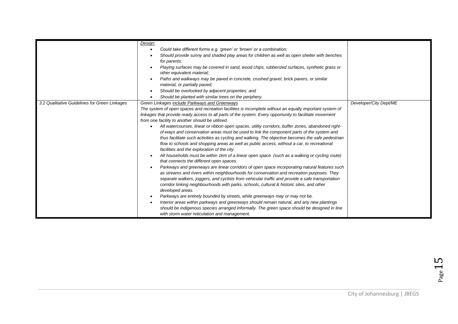|                                               | Design:<br>Could take different forms e.g. 'green' or 'brown' or a combination;<br>Should provide sunny and shaded play areas for children as well as open shelter with benches<br>for parents;<br>Playing surfaces may be covered in sand, wood chips, rubberized surfaces, synthetic grass or<br>other equivalent material;<br>Paths and walkways may be paved in concrete, crushed gravel, brick pavers, or similar<br>material, or partially paved;<br>Should be overlooked by adjacent properties; and<br>Should be planted with similar trees on the periphery.                                                                                                                                                                                                                                                                                                                                                                                                                                                                                                                                                                                                                                                                                                                                                                                                                                                                                                                                                                                                                                                                                                        |                        |
|-----------------------------------------------|------------------------------------------------------------------------------------------------------------------------------------------------------------------------------------------------------------------------------------------------------------------------------------------------------------------------------------------------------------------------------------------------------------------------------------------------------------------------------------------------------------------------------------------------------------------------------------------------------------------------------------------------------------------------------------------------------------------------------------------------------------------------------------------------------------------------------------------------------------------------------------------------------------------------------------------------------------------------------------------------------------------------------------------------------------------------------------------------------------------------------------------------------------------------------------------------------------------------------------------------------------------------------------------------------------------------------------------------------------------------------------------------------------------------------------------------------------------------------------------------------------------------------------------------------------------------------------------------------------------------------------------------------------------------------|------------------------|
| 3.2 Qualitative Guidelines for Green Linkages | Green Linkages include Parkways and Greenways<br>The system of open spaces and recreation facilities is incomplete without an equally important system of<br>linkages that provide ready access to all parts of the system. Every opportunity to facilitate movement<br>from one facility to another should be utilised.<br>All watercourses, linear or ribbon open spaces, utility corridors, buffer zones, abandoned right-<br>of-ways and conservation areas must be used to link the component parts of the system and<br>thus facilitate such activities as cycling and walking. The objective becomes the safe pedestrian<br>flow to schools and shopping areas as well as public access, without a car, to recreational<br>facilities and the exploration of the city.<br>All households must be within 1km of a linear open space (such as a walking or cycling route)<br>that connects the different open spaces.<br>Parkways and greenways are linear corridors of open space incorporating natural features such<br>as streams and rivers within neighbourhoods for conservation and recreation purposes. They<br>separate walkers, joggers, and cyclists from vehicular traffic and provide a safe transportation<br>corridor linking neighbourhoods with parks, schools, cultural & historic sites, and other<br>developed areas.<br>Parkways are entirely bounded by streets, while greenways may or may not be.<br>Interior areas within parkways and greenways should remain natural, and any new plantings<br>should be indigenous species arranged informally. The green space should be designed in line<br>with storm water reticulation and management. | Developer/City Dept/ME |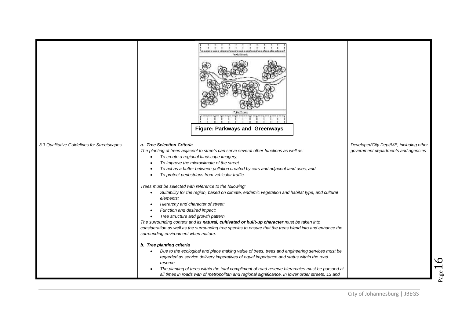|                                             | <b>Systematics</b><br><b>Tube Europe</b><br><b>Figure: Parkways and Greenways</b>                                                                                                                                                                                                                                                                                                                                                                                                                                                                                                                                                                                                                                                                                                                                                                                                                                                                                                           |                                                                                |
|---------------------------------------------|---------------------------------------------------------------------------------------------------------------------------------------------------------------------------------------------------------------------------------------------------------------------------------------------------------------------------------------------------------------------------------------------------------------------------------------------------------------------------------------------------------------------------------------------------------------------------------------------------------------------------------------------------------------------------------------------------------------------------------------------------------------------------------------------------------------------------------------------------------------------------------------------------------------------------------------------------------------------------------------------|--------------------------------------------------------------------------------|
| 3.3 Qualitative Guidelines for Streetscapes | a. Tree Selection Criteria<br>The planting of trees adjacent to streets can serve several other functions as well as:<br>To create a regional landscape imagery;<br>$\bullet$<br>To improve the microclimate of the street.<br>$\bullet$<br>To act as a buffer between pollution created by cars and adjacent land uses; and<br>$\bullet$<br>To protect pedestrians from vehicular traffic.<br>Trees must be selected with reference to the following:<br>Suitability for the region, based on climate, endemic vegetation and habitat type, and cultural<br>$\bullet$<br>elements;<br>Hierarchy and character of street;<br>$\bullet$<br>Function and desired impact;<br>$\bullet$<br>Tree structure and growth pattern.<br>$\bullet$<br>The surrounding context and its natural, cultivated or built-up character must be taken into<br>consideration as well as the surrounding tree species to ensure that the trees blend into and enhance the<br>surrounding environment when mature. | Developer/City Dept/ME, including other<br>government departments and agencies |
|                                             | b. Tree planting criteria<br>Due to the ecological and place making value of trees, trees and engineering services must be<br>regarded as service delivery imperatives of equal importance and status within the road<br>reserve:<br>The planting of trees within the total compliment of road reserve hierarchies must be pursued at<br>all times in roads with of metropolitan and regional significance. In lower order streets, 13 and                                                                                                                                                                                                                                                                                                                                                                                                                                                                                                                                                  |                                                                                |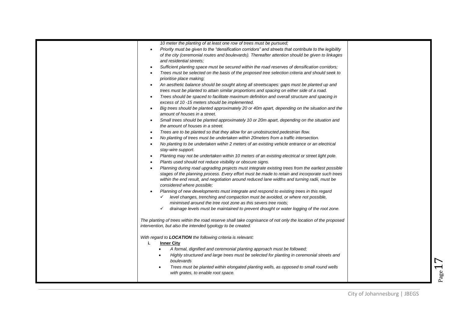| 10 meter the planting of at least one row of trees must be pursued;                                                |
|--------------------------------------------------------------------------------------------------------------------|
| Priority must be given to the "densification corridors" and streets that contribute to the legibility<br>$\bullet$ |
| of the city (ceremonial routes and boulevards). Thereafter attention should be given to linkages                   |
| and residential streets;                                                                                           |
| Sufficient planting space must be secured within the road reserves of densification corridors;<br>$\bullet$        |
| Trees must be selected on the basis of the proposed tree selection criteria and should seek to<br>$\bullet$        |
| prioritise place making;                                                                                           |
| An aesthetic balance should be sought along all streetscapes: gaps must be planted up and<br>$\bullet$             |
| trees must be planted to attain similar proportions and spacing on either side of a road.                          |
| Trees should be spaced to facilitate maximum definition and overall structure and spacing in<br>$\bullet$          |
| excess of 10 -15 meters should be implemented.                                                                     |
| Big trees should be planted approximately 20 or 40m apart, depending on the situation and the<br>$\bullet$         |
| amount of houses in a street.                                                                                      |
| Small trees should be planted approximately 10 or 20m apart, depending on the situation and<br>$\bullet$           |
| the amount of houses in a street.                                                                                  |
| Trees are to be planted so that they allow for an unobstructed pedestrian flow.<br>$\bullet$                       |
| No planting of trees must be undertaken within 20meters from a traffic intersection.<br>$\bullet$                  |
| No planting to be undertaken within 2 meters of an existing vehicle entrance or an electrical<br>$\bullet$         |
| stay-wire support.                                                                                                 |
| Planting may not be undertaken within 10 meters of an existing electrical or street light pole.<br>$\bullet$       |
| Plants used should not reduce visibility or obscure signs.<br>$\bullet$                                            |
| Planning during road upgrading projects must integrate existing trees from the earliest possible<br>$\bullet$      |
| stages of the planning process. Every effort must be made to retain and incorporate such trees                     |
| within the end result, and negotiation around reduced lane widths and turning radii, must be                       |
| considered where possible;                                                                                         |
| Planning of new developments must integrate and respond to existing trees in this regard                           |
| $\checkmark$ level changes, trenching and compaction must be avoided, or where not possible,                       |
| minimised around the tree root zone as this severs tree roots;                                                     |
| $\checkmark$<br>drainage levels must be maintained to prevent drought or water logging of the root zone.           |
|                                                                                                                    |
| The planting of trees within the road reserve shall take cognisance of not only the location of the proposed       |
| intervention, but also the intended typology to be created.                                                        |
|                                                                                                                    |
| With regard to LOCATION the following criteria is relevant:                                                        |
| <b>Inner City</b><br>i.                                                                                            |
| A formal, dignified and ceremonial planting approach must be followed;                                             |
| Highly structured and large trees must be selected for planting in ceremonial streets and                          |
| boulevards                                                                                                         |
| Trees must be planted within elongated planting wells, as opposed to small round wells                             |
| with grates, to enable root space.                                                                                 |
|                                                                                                                    |
|                                                                                                                    |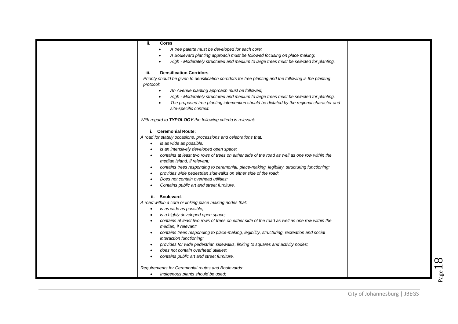| ii.<br><b>Cores</b>                                                                                      |  |
|----------------------------------------------------------------------------------------------------------|--|
| A tree palette must be developed for each core;<br>$\bullet$                                             |  |
| A Boulevard planting approach must be followed focusing on place making;                                 |  |
| High - Moderately structured and medium to large trees must be selected for planting.<br>$\bullet$       |  |
|                                                                                                          |  |
| <b>Densification Corridors</b><br>iii.                                                                   |  |
| Priority should be given to densification corridors for tree planting and the following is the planting  |  |
| protocol:                                                                                                |  |
| An Avenue planting approach must be followed;<br>$\bullet$                                               |  |
| High - Moderately structured and medium to large trees must be selected for planting.<br>$\bullet$       |  |
| The proposed tree planting intervention should be dictated by the regional character and<br>$\bullet$    |  |
| site-specific context.                                                                                   |  |
|                                                                                                          |  |
| With regard to TYPOLOGY the following criteria is relevant:                                              |  |
|                                                                                                          |  |
| i. Ceremonial Route:                                                                                     |  |
| A road for stately occasions, processions and celebrations that:                                         |  |
| is as wide as possible;<br>$\bullet$                                                                     |  |
| is an intensively developed open space;                                                                  |  |
| contains at least two rows of trees on either side of the road as well as one row within the             |  |
| median island, if relevant;                                                                              |  |
| contains trees responding to ceremonial, place-making, legibility, structuring functioning;<br>$\bullet$ |  |
| provides wide pedestrian sidewalks on either side of the road;                                           |  |
| Does not contain overhead utilities:<br>$\bullet$                                                        |  |
| Contains public art and street furniture.                                                                |  |
|                                                                                                          |  |
| Boulevard:<br>ii.                                                                                        |  |
| A road within a core or linking place making nodes that:                                                 |  |
| is as wide as possible;<br>$\bullet$                                                                     |  |
| is a highly developed open space;<br>$\bullet$                                                           |  |
| contains at least two rows of trees on either side of the road as well as one row within the             |  |
| median, if relevant;                                                                                     |  |
| contains trees responding to place-making, legibility, structuring, recreation and social<br>$\bullet$   |  |
| interaction functioning;                                                                                 |  |
| provides for wide pedestrian sidewalks, linking to squares and activity nodes;                           |  |
| does not contain overhead utilities:                                                                     |  |
| contains public art and street furniture.                                                                |  |
|                                                                                                          |  |
| Requirements for Ceremonial routes and Boulevards:                                                       |  |
| Indigenous plants should be used;                                                                        |  |
|                                                                                                          |  |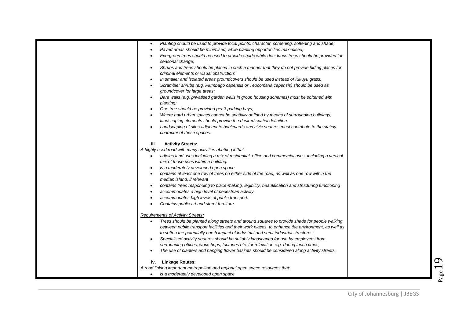| $\bullet$ | Planting should be used to provide focal points, character, screening, softening and shade;                                                |  |
|-----------|--------------------------------------------------------------------------------------------------------------------------------------------|--|
| $\bullet$ | Paved areas should be minimised, while planting opportunities maximised;                                                                   |  |
| ٠         | Evergreen trees should be used to provide shade while deciduous trees should be provided for                                               |  |
|           | seasonal change;                                                                                                                           |  |
|           | Shrubs and trees should be placed in such a manner that they do not provide hiding places for                                              |  |
|           | criminal elements or visual obstruction;                                                                                                   |  |
| $\bullet$ | In smaller and isolated areas groundcovers should be used instead of Kikuyu grass;                                                         |  |
| $\bullet$ | Scrambler shrubs (e.g. Plumbago capensis or Teocomaria capensis) should be used as<br>groundcover for large areas;                         |  |
|           | Bare walls (e.g. privatised garden walls in group housing schemes) must be softened with<br>planting;                                      |  |
| $\bullet$ | One tree should be provided per 3 parking bays;                                                                                            |  |
| $\bullet$ | Where hard urban spaces cannot be spatially defined by means of surrounding buildings,                                                     |  |
|           | landscaping elements should provide the desired spatial definition                                                                         |  |
| $\bullet$ | Landscaping of sites adjacent to boulevards and civic squares must contribute to the stately                                               |  |
|           | character of these spaces.                                                                                                                 |  |
| iii.      | <b>Activity Streets:</b>                                                                                                                   |  |
|           | A highly used road with many activities abutting it that:                                                                                  |  |
|           | adjoins land uses including a mix of residential, office and commercial uses, including a vertical<br>mix of those uses within a building. |  |
| $\bullet$ | is a moderately developed open space                                                                                                       |  |
|           | contains at least one row of trees on either side of the road, as well as one row within the                                               |  |
|           | median island, if relevant                                                                                                                 |  |
| $\bullet$ | contains trees responding to place-making, legibility, beautification and structuring functioning                                          |  |
| $\bullet$ | accommodates a high level of pedestrian activity.                                                                                          |  |
| $\bullet$ | accommodates high levels of public transport.                                                                                              |  |
|           | Contains public art and street furniture.                                                                                                  |  |
|           | <b>Requirements of Activity Streets:</b>                                                                                                   |  |
| $\bullet$ | Trees should be planted along streets and around squares to provide shade for people walking                                               |  |
|           | between public transport facilities and their work places, to enhance the environment, as well as                                          |  |
|           | to soften the potentially harsh impact of industrial and semi-industrial structures;                                                       |  |
|           | Specialised activity squares should be suitably landscaped for use by employees from                                                       |  |
|           | surrounding offices, workshops, factories etc. for relaxation e.g. during lunch times;                                                     |  |
|           | The use of planters and hanging flower baskets should be considered along activity streets.                                                |  |
|           | <b>Linkage Routes:</b><br>iv.                                                                                                              |  |
|           | A road linking important metropolitan and regional open space resources that:                                                              |  |
|           | is a moderately developed open space                                                                                                       |  |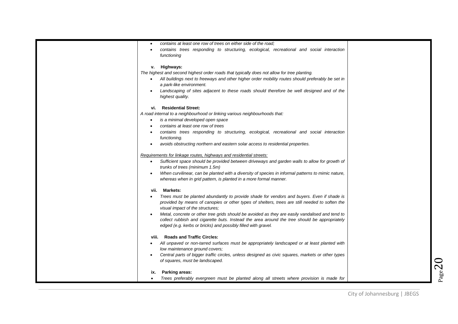|           | contains at least one row of trees on either side of the road;                                      |  |
|-----------|-----------------------------------------------------------------------------------------------------|--|
| $\bullet$ | contains trees responding to structuring, ecological, recreational and social interaction           |  |
|           | functioning                                                                                         |  |
|           |                                                                                                     |  |
|           | v. Highways:                                                                                        |  |
|           | The highest and second highest order roads that typically does not allow for tree planting.         |  |
|           | • All buildings next to freeways and other higher order mobility routes should preferably be set in |  |
|           | a park-like environment.                                                                            |  |
|           | Landscaping of sites adjacent to these roads should therefore be well designed and of the           |  |
|           | highest quality.                                                                                    |  |
|           |                                                                                                     |  |
| vi.       | <b>Residential Street:</b>                                                                          |  |
|           | A road internal to a neighbourhood or linking various neighbourhoods that:                          |  |
| $\bullet$ | is a minimal developed open space                                                                   |  |
| $\bullet$ | contains at least one row of trees                                                                  |  |
|           | contains trees responding to structuring, ecological, recreational and social interaction           |  |
|           | functioning.                                                                                        |  |
|           | avoids obstructing northern and eastern solar access to residential properties.                     |  |
|           |                                                                                                     |  |
|           | Requirements for linkage routes, highways and residential streets:                                  |  |
| $\bullet$ | Sufficient space should be provided between driveways and garden walls to allow for growth of       |  |
|           | trunks of trees (minimum 1.5m)                                                                      |  |
| $\bullet$ | When curvilinear, can be planted with a diversity of species in informal patterns to mimic nature,  |  |
|           | whereas when in grid pattern, is planted in a more formal manner.                                   |  |
|           | vii. Markets:                                                                                       |  |
|           | Trees must be planted abundantly to provide shade for vendors and buyers. Even if shade is          |  |
|           | provided by means of canopies or other types of shelters, trees are still needed to soften the      |  |
|           | visual impact of the structures;                                                                    |  |
| $\bullet$ | Metal, concrete or other tree grids should be avoided as they are easily vandalised and tend to     |  |
|           | collect rubbish and cigarette buts. Instead the area around the tree should be appropriately        |  |
|           | edged (e.g. kerbs or bricks) and possibly filled with gravel.                                       |  |
|           |                                                                                                     |  |
|           | viii. Roads and Traffic Circles:                                                                    |  |
|           | All unpaved or non-tarred surfaces must be appropriately landscaped or at least planted with        |  |
|           | low maintenance ground covers;                                                                      |  |
|           | Central parts of bigger traffic circles, unless designed as civic squares, markets or other types   |  |
|           | of squares, must be landscaped.                                                                     |  |
|           |                                                                                                     |  |
| ix.       | <b>Parking areas:</b>                                                                               |  |
|           | Trees preferably evergreen must be planted along all streets where provision is made for            |  |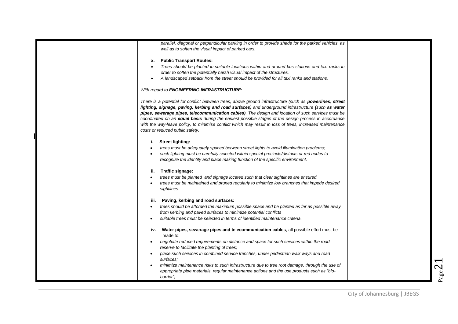| parallel, diagonal or perpendicular parking in order to provide shade for the parked vehicles, as<br>well as to soften the visual impact of parked cars.                                                                                                                                                                                                                                                                                                                                                                                                                              |  |
|---------------------------------------------------------------------------------------------------------------------------------------------------------------------------------------------------------------------------------------------------------------------------------------------------------------------------------------------------------------------------------------------------------------------------------------------------------------------------------------------------------------------------------------------------------------------------------------|--|
| x. Public Transport Routes:                                                                                                                                                                                                                                                                                                                                                                                                                                                                                                                                                           |  |
| Trees should be planted in suitable locations within and around bus stations and taxi ranks in                                                                                                                                                                                                                                                                                                                                                                                                                                                                                        |  |
| order to soften the potentially harsh visual impact of the structures.                                                                                                                                                                                                                                                                                                                                                                                                                                                                                                                |  |
| A landscaped setback from the street should be provided for all taxi ranks and stations.                                                                                                                                                                                                                                                                                                                                                                                                                                                                                              |  |
| With regard to ENGINEERING INFRASTRUCTURE:                                                                                                                                                                                                                                                                                                                                                                                                                                                                                                                                            |  |
| There is a potential for conflict between trees, above ground infrastructure (such as <b>powerlines</b> , street<br>lighting, signage, paving, kerbing and road surfaces) and underground infrastructure (such as water<br>pipes, sewerage pipes, telecommunication cables). The design and location of such services must be<br>coordinated on an equal basis during the earliest possible stages of the design process in accordance<br>with the way-leave policy, to minimise conflict which may result in loss of trees, increased maintenance<br>costs or reduced public safety. |  |
| <b>Street lighting:</b><br>i.                                                                                                                                                                                                                                                                                                                                                                                                                                                                                                                                                         |  |
| trees must be adequately spaced between street lights to avoid illumination problems;                                                                                                                                                                                                                                                                                                                                                                                                                                                                                                 |  |
| such lighting must be carefully selected within special precincts/districts or red nodes to                                                                                                                                                                                                                                                                                                                                                                                                                                                                                           |  |
| recognize the identity and place making function of the specific environment.                                                                                                                                                                                                                                                                                                                                                                                                                                                                                                         |  |
| Traffic signage:<br>ii.                                                                                                                                                                                                                                                                                                                                                                                                                                                                                                                                                               |  |
| trees must be planted and signage located such that clear sightlines are ensured.                                                                                                                                                                                                                                                                                                                                                                                                                                                                                                     |  |
| trees must be maintained and pruned regularly to minimize low branches that impede desired<br>sightlines.                                                                                                                                                                                                                                                                                                                                                                                                                                                                             |  |
| Paving, kerbing and road surfaces:<br>iii.                                                                                                                                                                                                                                                                                                                                                                                                                                                                                                                                            |  |
| trees should be afforded the maximum possible space and be planted as far as possible away                                                                                                                                                                                                                                                                                                                                                                                                                                                                                            |  |
| from kerbing and paved surfaces to minimize potential conflicts                                                                                                                                                                                                                                                                                                                                                                                                                                                                                                                       |  |
| suitable trees must be selected in terms of identified maintenance criteria.                                                                                                                                                                                                                                                                                                                                                                                                                                                                                                          |  |
| Water pipes, sewerage pipes and telecommunication cables, all possible effort must be<br>iv.<br>made to:                                                                                                                                                                                                                                                                                                                                                                                                                                                                              |  |
| negotiate reduced requirements on distance and space for such services within the road                                                                                                                                                                                                                                                                                                                                                                                                                                                                                                |  |
| reserve to facilitate the planting of trees;                                                                                                                                                                                                                                                                                                                                                                                                                                                                                                                                          |  |
| place such services in combined service trenches, under pedestrian walk ways and road                                                                                                                                                                                                                                                                                                                                                                                                                                                                                                 |  |
| surfaces;                                                                                                                                                                                                                                                                                                                                                                                                                                                                                                                                                                             |  |
| minimize maintenance risks to such infrastructure due to tree root damage, through the use of                                                                                                                                                                                                                                                                                                                                                                                                                                                                                         |  |
| appropriate pipe materials, regular maintenance actions and the use products such as "bio-                                                                                                                                                                                                                                                                                                                                                                                                                                                                                            |  |
| barrier":                                                                                                                                                                                                                                                                                                                                                                                                                                                                                                                                                                             |  |
|                                                                                                                                                                                                                                                                                                                                                                                                                                                                                                                                                                                       |  |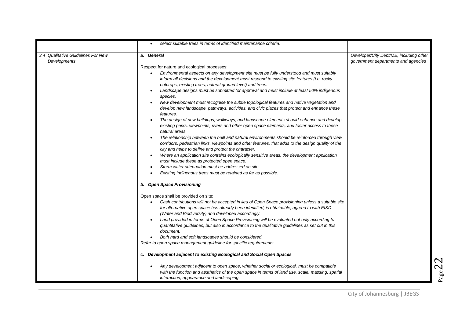|                                    | select suitable trees in terms of identified maintenance criteria.                                                                                                                                                                                                                                                                                                                                                                                                                                                                                                                                                                                                                                                                                                                                                                                                                                                                                                                                                                                                                                                                                                                                                                                                                                                                                                         |                                         |
|------------------------------------|----------------------------------------------------------------------------------------------------------------------------------------------------------------------------------------------------------------------------------------------------------------------------------------------------------------------------------------------------------------------------------------------------------------------------------------------------------------------------------------------------------------------------------------------------------------------------------------------------------------------------------------------------------------------------------------------------------------------------------------------------------------------------------------------------------------------------------------------------------------------------------------------------------------------------------------------------------------------------------------------------------------------------------------------------------------------------------------------------------------------------------------------------------------------------------------------------------------------------------------------------------------------------------------------------------------------------------------------------------------------------|-----------------------------------------|
| 3.4 Qualitative Guidelines For New | a. General                                                                                                                                                                                                                                                                                                                                                                                                                                                                                                                                                                                                                                                                                                                                                                                                                                                                                                                                                                                                                                                                                                                                                                                                                                                                                                                                                                 | Developer/City Dept/ME, including other |
| Developments                       | Respect for nature and ecological processes:<br>Environmental aspects on any development site must be fully understood and must suitably<br>inform all decisions and the development must respond to existing site features (i.e. rocky<br>outcrops, existing trees, natural ground level) and trees.<br>Landscape designs must be submitted for approval and must include at least 50% indigenous<br>species.<br>New development must recognise the subtle topological features and native vegetation and<br>develop new landscape, pathways, activities, and civic places that protect and enhance these<br>features.<br>The design of new buildings, walkways, and landscape elements should enhance and develop<br>existing parks, viewpoints, rivers and other open space elements, and foster access to these<br>natural areas.<br>The relationship between the built and natural environments should be reinforced through view<br>corridors, pedestrian links, viewpoints and other features, that adds to the design quality of the<br>city and helps to define and protect the character.<br>Where an application site contains ecologically sensitive areas, the development application<br>must include these as protected open space.<br>Storm water attenuation must be addressed on site.<br>Existing indigenous trees must be retained as far as possible. | government departments and agencies     |
|                                    | b. Open Space Provisioning<br>Open space shall be provided on site:<br>Cash contributions will not be accepted in lieu of Open Space provisioning unless a suitable site<br>for alternative open space has already been identified, is obtainable, agreed to with EISD<br>(Water and Biodiversity) and developed accordingly.<br>Land provided in terms of Open Space Provisioning will be evaluated not only according to<br>quantitative guidelines, but also in accordance to the qualitative guidelines as set out in this<br>document.<br>Both hard and soft landscapes should be considered.<br>Refer to open space management guideline for specific requirements.<br>c. Development adjacent to existing Ecological and Social Open Spaces<br>Any development adjacent to open space, whether social or ecological, must be compatible<br>with the function and aesthetics of the open space in terms of land use, scale, massing, spatial<br>interaction, appearance and landscaping.                                                                                                                                                                                                                                                                                                                                                                             |                                         |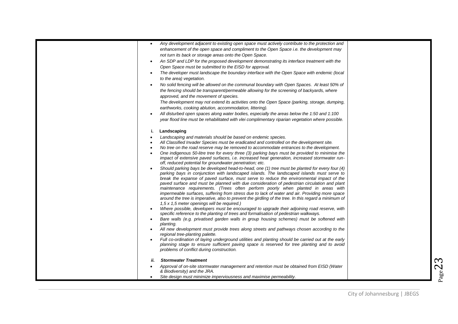| $\bullet$ | Any development adjacent to existing open space must actively contribute to the protection and                                                                                                  |  |
|-----------|-------------------------------------------------------------------------------------------------------------------------------------------------------------------------------------------------|--|
|           | enhancement of the open space and compliment to the Open Space i.e. the development may                                                                                                         |  |
|           | not turn its back or storage areas onto the Open Space.                                                                                                                                         |  |
|           | An SDP and LDP for the proposed development demonstrating its interface treatment with the                                                                                                      |  |
|           | Open Space must be submitted to the EISD for approval.                                                                                                                                          |  |
| $\bullet$ | The developer must landscape the boundary interface with the Open Space with endemic (local                                                                                                     |  |
|           | to the area) vegetation.                                                                                                                                                                        |  |
|           | No solid fencing will be allowed on the communal boundary with Open Spaces. At least 50% of                                                                                                     |  |
|           | the fencing should be transparent/permeable allowing for the screening of backyards, where                                                                                                      |  |
|           | approved, and the movement of species.                                                                                                                                                          |  |
|           | The development may not extend its activities onto the Open Space (parking, storage, dumping,                                                                                                   |  |
|           | earthworks, cooking ablution, accommodation, littering).                                                                                                                                        |  |
|           | All disturbed open spaces along water bodies, especially the areas below the 1:50 and 1:100                                                                                                     |  |
|           | year flood line must be rehabilitated with vlei complimentary riparian vegetation where possible.                                                                                               |  |
| i.        | Landscaping                                                                                                                                                                                     |  |
| $\bullet$ | Landscaping and materials should be based on endemic species.                                                                                                                                   |  |
|           | All Classified Invader Species must be eradicated and controlled on the development site.                                                                                                       |  |
| $\bullet$ | No tree on the road reserve may be removed to accommodate entrances to the development.                                                                                                         |  |
|           | One indigenous 50-litre tree for every three (3) parking bays must be provided to minimise the<br>impact of extensive paved surfaces, i.e. increased heat generation, increased stormwater run- |  |
|           | off, reduced potential for groundwater penetration; etc.                                                                                                                                        |  |
|           | Should parking bays be developed head-to-head, one (1) tree must be planted for every four (4)                                                                                                  |  |
|           | parking bays in conjunction with landscaped islands. The landscaped islands must serve to                                                                                                       |  |
|           | break the expanse of paved surface, must serve to reduce the environmental impact of the                                                                                                        |  |
|           | paved surface and must be planned with due consideration of pedestrian circulation and plant                                                                                                    |  |
|           | maintenance requirements. (Trees often perform poorly when planted in areas with<br>impermeable surfaces, suffering from stress due to lack of water and air. Providing more space              |  |
|           | around the tree is imperative, also to prevent the girdling of the tree. In this regard a minimum of                                                                                            |  |
|           | 1,5 x 1,5 meter openings will be required.)                                                                                                                                                     |  |
| $\bullet$ | Where possible, developers must be encouraged to upgrade their adjoining road reserve, with<br>specific reference to the planting of trees and formalisation of pedestrian walkways.            |  |
| $\bullet$ | Bare walls (e.g. privatised garden walls in group housing schemes) must be softened with<br>planting.                                                                                           |  |
|           | All new development must provide trees along streets and pathways chosen according to the<br>regional tree-planting palette.                                                                    |  |
|           | Full co-ordination of laying underground utilities and planting should be carried out at the early                                                                                              |  |
|           | planning stage to ensure sufficient paving space is reserved for tree planting and to avoid<br>problems of conflict during construction.                                                        |  |
| ii.       | <b>Stormwater Treatment</b>                                                                                                                                                                     |  |
|           | Approval of on-site stormwater management and retention must be obtained from EISD (Water                                                                                                       |  |
|           | & Biodiversity) and the JRA.                                                                                                                                                                    |  |
|           | Site design must minimize imperviousness and maximise permeability.                                                                                                                             |  |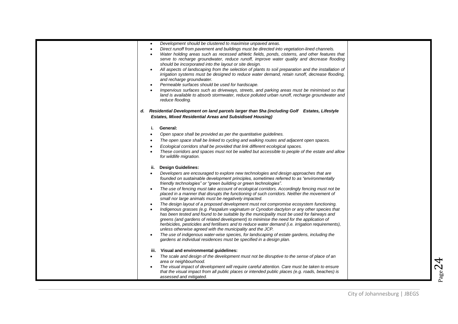| $\bullet$<br>$\bullet$ | Development should be clustered to maximise unpaved areas.<br>Direct runoff from pavement and buildings must be directed into vegetation-lined channels.                                                                                              |  |
|------------------------|-------------------------------------------------------------------------------------------------------------------------------------------------------------------------------------------------------------------------------------------------------|--|
| $\bullet$              | Water holding areas such as recessed athletic fields, ponds, cisterns, and other features that<br>serve to recharge groundwater, reduce runoff, improve water quality and decrease flooding<br>should be incorporated into the layout or site design. |  |
|                        | All aspects of landscaping from the selection of plants to soil preparation and the installation of<br>irrigation systems must be designed to reduce water demand, retain runoff, decrease flooding,<br>and recharge groundwater.                     |  |
| $\bullet$              | Permeable surfaces should be used for hardscape.                                                                                                                                                                                                      |  |
| $\bullet$              | Impervious surfaces such as driveways, streets, and parking areas must be minimised so that<br>land is available to absorb stormwater, reduce polluted urban runoff, recharge groundwater and<br>reduce flooding.                                     |  |
|                        | d. Residential Development on land parcels larger than 5ha (including Golf Estates, Lifestyle<br><b>Estates, Mixed Residential Areas and Subsidised Housing)</b>                                                                                      |  |
| j.                     | General:                                                                                                                                                                                                                                              |  |
| $\bullet$              | Open space shall be provided as per the quantitative guidelines.                                                                                                                                                                                      |  |
| $\bullet$              | The open space shall be linked to cycling and walking routes and adjacent open spaces.                                                                                                                                                                |  |
| $\bullet$              | Ecological corridors shall be provided that link different ecological spaces.                                                                                                                                                                         |  |
| $\bullet$              | These corridors and spaces must not be walled but accessible to people of the estate and allow<br>for wildlife migration.                                                                                                                             |  |
| ii.                    | <b>Design Guidelines:</b>                                                                                                                                                                                                                             |  |
| $\bullet$              | Developers are encouraged to explore new technologies and design approaches that are<br>founded on sustainable development principles, sometimes referred to as "environmentally<br>friendly technologies" or "green building or green technologies". |  |
| $\bullet$              | The use of fencing must take account of ecological corridors. Accordingly fencing must not be<br>placed in a manner that disrupts the functioning of such corridors. Neither the movement of<br>small nor large animals must be negatively impacted.  |  |
| $\bullet$              | The design layout of a proposed development must not compromise ecosystem functioning.                                                                                                                                                                |  |
| $\bullet$              | Indigenous grasses (e.g. Paspalum vaginatum or Cynodon dactylon or any other species that                                                                                                                                                             |  |
|                        | has been tested and found to be suitable by the municipality must be used for fairways and<br>greens (and gardens of related development) to minimise the need for the application of                                                                 |  |
|                        | herbicides, pesticides and fertilisers and to reduce water demand (i.e. irrigation requirements),                                                                                                                                                     |  |
| $\bullet$              | unless otherwise agreed with the municipality and the JCP.                                                                                                                                                                                            |  |
|                        | The use of indigenous water-wise species, for landscaping of estate gardens, including the<br>gardens at individual residences must be specified in a design plan.                                                                                    |  |
| iii.                   | Visual and environmental guidelines:                                                                                                                                                                                                                  |  |
| $\bullet$              | The scale and design of the development must not be disruptive to the sense of place of an<br>area or neighbourhood.                                                                                                                                  |  |
| $\bullet$              | The visual impact of development will require careful attention. Care must be taken to ensure<br>that the visual impact from all public places or intended public places (e.g. roads, beaches) is<br>assessed and mitigated.                          |  |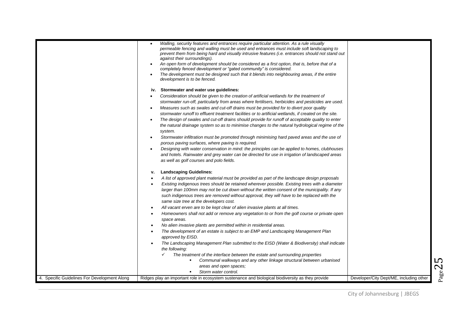|                                              | Walling, security features and entrances require particular attention. As a rule visually                                   |                                         |
|----------------------------------------------|-----------------------------------------------------------------------------------------------------------------------------|-----------------------------------------|
|                                              | permeable fencing and walling must be used and entrances must include soft landscaping to                                   |                                         |
|                                              | prevent them from being hard and visually intrusive features (i.e. entrances should not stand out                           |                                         |
|                                              | against their surroundings).                                                                                                |                                         |
|                                              | An open form of development should be considered as a first option, that is, before that of a<br>$\bullet$                  |                                         |
|                                              | completely fenced development or "gated community" is considered.                                                           |                                         |
|                                              | The development must be designed such that it blends into neighbouring areas, if the entire<br>development is to be fenced. |                                         |
|                                              |                                                                                                                             |                                         |
|                                              | Stormwater and water use guidelines:<br>i۷.                                                                                 |                                         |
|                                              | Consideration should be given to the creation of artificial wetlands for the treatment of<br>$\bullet$                      |                                         |
|                                              | stormwater run-off, particularly from areas where fertilisers, herbicides and pesticides are used.                          |                                         |
|                                              |                                                                                                                             |                                         |
|                                              | Measures such as swales and cut-off drains must be provided for to divert poor quality<br>$\bullet$                         |                                         |
|                                              | stormwater runoff to effluent treatment facilities or to artificial wetlands, if created on the site.                       |                                         |
|                                              | The design of swales and cut-off drains should provide for runoff of acceptable quality to enter<br>$\bullet$               |                                         |
|                                              | the natural drainage system so as to minimise changes to the natural hydrological regime of the                             |                                         |
|                                              | system.                                                                                                                     |                                         |
|                                              | Stormwater infiltration must be promoted through minimising hard paved areas and the use of<br>$\bullet$                    |                                         |
|                                              | porous paving surfaces, where paving is required.                                                                           |                                         |
|                                              | Designing with water conservation in mind: the principles can be applied to homes, clubhouses                               |                                         |
|                                              | and hotels. Rainwater and grey water can be directed for use in irrigation of landscaped areas                              |                                         |
|                                              | as well as golf courses and polo fields.                                                                                    |                                         |
|                                              |                                                                                                                             |                                         |
|                                              | <b>Landscaping Guidelines:</b><br>۷.                                                                                        |                                         |
|                                              | A list of approved plant material must be provided as part of the landscape design proposals<br>$\bullet$                   |                                         |
|                                              | Existing indigenous trees should be retained wherever possible. Existing trees with a diameter<br>$\bullet$                 |                                         |
|                                              | larger than 100mm may not be cut down without the written consent of the municipality. If any                               |                                         |
|                                              | such indigenous trees are removed without approval, they will have to be replaced with the                                  |                                         |
|                                              | same size tree at the developers cost.                                                                                      |                                         |
|                                              |                                                                                                                             |                                         |
|                                              | All vacant erven are to be kept clear of alien invasive plants at all times.<br>$\bullet$                                   |                                         |
|                                              | Homeowners shall not add or remove any vegetation to or from the golf course or private open<br>$\bullet$                   |                                         |
|                                              | space areas.                                                                                                                |                                         |
|                                              | No alien invasive plants are permitted within in residential areas.<br>$\bullet$                                            |                                         |
|                                              | The development of an estate is subject to an EMP and Landscaping Management Plan<br>$\bullet$                              |                                         |
|                                              | approved by EISD.                                                                                                           |                                         |
|                                              | The Landscaping Management Plan submitted to the EISD (Water & Biodiversity) shall indicate<br>$\bullet$                    |                                         |
|                                              | the following:                                                                                                              |                                         |
|                                              | The treatment of the interface between the estate and surrounding properties                                                |                                         |
|                                              | Communal walkways and any other linkage structural between urbanised                                                        |                                         |
|                                              | areas and open spaces;                                                                                                      |                                         |
|                                              | Storm water control.                                                                                                        |                                         |
| 4. Specific Guidelines For Development Along | Ridges play an important role in ecosystem sustenance and biological biodiversity as they provide                           | Developer/City Dept/ME, including other |
|                                              |                                                                                                                             |                                         |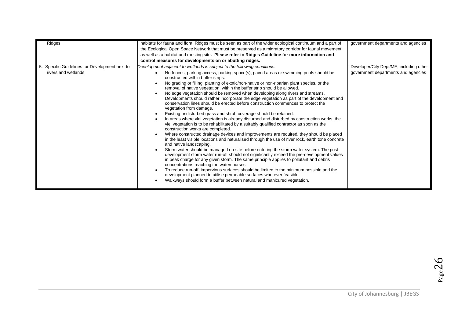| Ridges                                         | habitats for fauna and flora. Ridges must be seen as part of the wider ecological continuum and a part of                                                                                                                                                                                                                                | government departments and agencies     |
|------------------------------------------------|------------------------------------------------------------------------------------------------------------------------------------------------------------------------------------------------------------------------------------------------------------------------------------------------------------------------------------------|-----------------------------------------|
|                                                | the Ecological Open Space Network that must be preserved as a migratory corridor for faunal movement,                                                                                                                                                                                                                                    |                                         |
|                                                | as well as a habitat and roosting site. Please refer to Ridges Guideline for more information and                                                                                                                                                                                                                                        |                                         |
|                                                | control measures for developments on or abutting ridges.                                                                                                                                                                                                                                                                                 |                                         |
| 5. Specific Guidelines for Development next to | Development adjacent to wetlands is subject to the following conditions:                                                                                                                                                                                                                                                                 | Developer/City Dept/ME, including other |
| rivers and wetlands                            | No fences, parking access, parking space(s), paved areas or swimming pools should be<br>$\bullet$<br>constructed within buffer strips.                                                                                                                                                                                                   | government departments and agencies     |
|                                                | No grading or filling, planting of exotic/non-native or non-riparian plant species, or the<br>removal of native vegetation, within the buffer strip should be allowed.                                                                                                                                                                   |                                         |
|                                                | No edge vegetation should be removed when developing along rivers and streams.<br>$\bullet$<br>Developments should rather incorporate the edge vegetation as part of the development and<br>conservation lines should be erected before construction commences to protect the<br>vegetation from damage.                                 |                                         |
|                                                | Existing undisturbed grass and shrub coverage should be retained.<br>$\bullet$<br>In areas where vlei vegetation is already disturbed and disturbed by construction works, the<br>$\bullet$<br>vlei vegetation is to be rehabilitated by a suitably qualified contractor as soon as the<br>construction works are completed.             |                                         |
|                                                | Where constructed drainage devices and improvements are required, they should be placed<br>$\bullet$<br>in the least visible locations and naturalised through the use of river rock, earth tone concrete<br>and native landscaping.                                                                                                     |                                         |
|                                                | Storm water should be managed on-site before entering the storm water system. The post-<br>$\bullet$<br>development storm water run-off should not significantly exceed the pre-development values<br>in peak charge for any given storm. The same principle applies to pollutant and debris<br>concentrations reaching the watercourses |                                         |
|                                                | To reduce run-off, impervious surfaces should be limited to the minimum possible and the<br>$\bullet$<br>development planned to utilise permeable surfaces wherever feasible.<br>Walkways should form a buffer between natural and manicured vegetation.                                                                                 |                                         |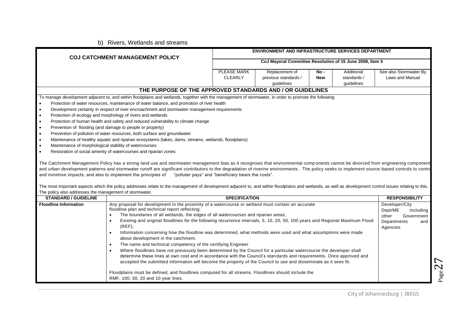#### b) Rivers, Wetlands and streams

|                                                                                                                                                                                                                                                                                                                                                                                                                                                                                                                                                                                                                                                                                                                                                                                                                                                                                                                                                                                                                                                                                                                                                                                                                                                                                                                                                                                                                                                                                                                                                                                                                                                                                                          |                               | ENVIRONMENT AND INFRASTRUCTURE SERVICES DEPARTMENT       |                    |                                         |                                                                                                 |
|----------------------------------------------------------------------------------------------------------------------------------------------------------------------------------------------------------------------------------------------------------------------------------------------------------------------------------------------------------------------------------------------------------------------------------------------------------------------------------------------------------------------------------------------------------------------------------------------------------------------------------------------------------------------------------------------------------------------------------------------------------------------------------------------------------------------------------------------------------------------------------------------------------------------------------------------------------------------------------------------------------------------------------------------------------------------------------------------------------------------------------------------------------------------------------------------------------------------------------------------------------------------------------------------------------------------------------------------------------------------------------------------------------------------------------------------------------------------------------------------------------------------------------------------------------------------------------------------------------------------------------------------------------------------------------------------------------|-------------------------------|----------------------------------------------------------|--------------------|-----------------------------------------|-------------------------------------------------------------------------------------------------|
| <b>COJ CATCHMENT MANAGEMENT POLICY</b>                                                                                                                                                                                                                                                                                                                                                                                                                                                                                                                                                                                                                                                                                                                                                                                                                                                                                                                                                                                                                                                                                                                                                                                                                                                                                                                                                                                                                                                                                                                                                                                                                                                                   |                               | CoJ Mayoral Committee Resolution of 15 June 2008, Item 5 |                    |                                         |                                                                                                 |
|                                                                                                                                                                                                                                                                                                                                                                                                                                                                                                                                                                                                                                                                                                                                                                                                                                                                                                                                                                                                                                                                                                                                                                                                                                                                                                                                                                                                                                                                                                                                                                                                                                                                                                          | PLEASE MARK<br><b>CLEARLY</b> | Replacement of<br>previous standards /<br>guidelines     | No -<br><b>New</b> | Additional<br>standards /<br>quidelines | See also Stormwater By<br><b>Laws and Manual</b>                                                |
| THE PURPOSE OF THE APPROVED STANDARDS AND / OR GUIDELINES                                                                                                                                                                                                                                                                                                                                                                                                                                                                                                                                                                                                                                                                                                                                                                                                                                                                                                                                                                                                                                                                                                                                                                                                                                                                                                                                                                                                                                                                                                                                                                                                                                                |                               |                                                          |                    |                                         |                                                                                                 |
| To manage development adjacent to, and within floodplains and wetlands, together with the management of stormwater, in order to promote the following:<br>Protection of water resources, maintenance of water balance, and promotion of river health<br>Development certainty in respect of river encroachment and stormwater management requirements<br>Protection of ecology and morphology of rivers and wetlands<br>$\bullet$<br>Protection of human health and safety and reduced vulnerability to climate change<br>$\bullet$<br>Prevention of flooding (and damage to people or property)<br>$\bullet$<br>Prevention of pollution of water resources, both surface and groundwater<br>$\bullet$<br>Maintenance of healthy aquatic and riparian ecosystems (lakes, dams, streams, wetlands, floodplains)<br>$\bullet$<br>Maintenance of morphological stability of watercourses<br>$\bullet$<br>Restoration of social amenity of watercourses and riparian zones<br>$\bullet$<br>The Catchment Management Policy has a strong land use and stormwater management bias as it recognises that environmental components cannot be divorced from engineering component<br>and urban development patterns and stormwater runoff are significant contributors to the degradation of riverine environments. The policy seeks to implement source-based controls to control<br>and minimise impacts, and also to implement the principles of "polluter pays" and "beneficiary bears the costs".<br>The most important aspects which the policy addresses relate to the management of development adjacent to, and within floodplains and wetlands, as well as development control issues relating to this. |                               |                                                          |                    |                                         |                                                                                                 |
| The policy also addresses the management of stormwater.<br><b>STANDARD / GUIDELINE</b>                                                                                                                                                                                                                                                                                                                                                                                                                                                                                                                                                                                                                                                                                                                                                                                                                                                                                                                                                                                                                                                                                                                                                                                                                                                                                                                                                                                                                                                                                                                                                                                                                   | <b>SPECIFICATION</b>          |                                                          |                    |                                         | <b>RESPONSIBILITY</b>                                                                           |
| <b>Floodline Information</b><br>Any proposal for development in the proximity of a watercourse or wetland must contain an accurate<br>floodline plan and technical report reflecting:<br>The boundaries of all wetlands, the edges of all watercourses and riparian areas,<br>$\bullet$<br>Existing and original floodlines for the following recurrence intervals, 5, 10, 20, 50, 100 years and Regional Maximum Flood<br>$\bullet$<br>$(REF)$ ,<br>Information concerning how the floodline was determined, what methods were used and what assumptions were made<br>$\bullet$<br>about development in the catchment.<br>The name and technical competency of the certifying Engineer<br>$\bullet$<br>Where floodlines have not previously been determined by the Council for a particular watercourse the developer shall<br>$\bullet$<br>determine these lines at own cost and in accordance with the Council's standards and requirements. Once approved and<br>accepted the submitted information will become the property of the Council to use and disseminate as it sees fit.<br>Floodplains must be defined, and floodlines computed for all streams. Floodlines should include the                                                                                                                                                                                                                                                                                                                                                                                                                                                                                                            |                               |                                                          |                    |                                         | Developer/City<br>Dept/ME<br>including<br>Government<br>other<br>Departments<br>and<br>Agencies |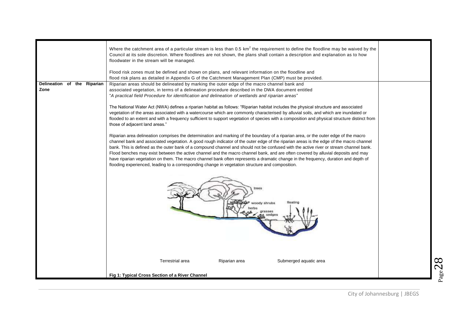|                             | Where the catchment area of a particular stream is less than 0.5 $km^2$ the requirement to define the floodline may be waived by the<br>Council at its sole discretion. Where floodlines are not shown, the plans shall contain a description and explanation as to how<br>floodwater in the stream will be managed.                                                                                                                                                                                                                                                                                                                                                                                                                                                                                      |
|-----------------------------|-----------------------------------------------------------------------------------------------------------------------------------------------------------------------------------------------------------------------------------------------------------------------------------------------------------------------------------------------------------------------------------------------------------------------------------------------------------------------------------------------------------------------------------------------------------------------------------------------------------------------------------------------------------------------------------------------------------------------------------------------------------------------------------------------------------|
|                             | Flood risk zones must be defined and shown on plans, and relevant information on the floodline and<br>flood risk plans as detailed in Appendix G of the Catchment Management Plan (CMP) must be provided.                                                                                                                                                                                                                                                                                                                                                                                                                                                                                                                                                                                                 |
| Delineation of the Riparian | Riparian areas should be delineated by marking the outer edge of the macro channel bank and                                                                                                                                                                                                                                                                                                                                                                                                                                                                                                                                                                                                                                                                                                               |
| Zone                        | associated vegetation, in terms of a delineation procedure described in the DWA document entitled<br>"A practical field Procedure for identification and delineation of wetlands and riparian areas"                                                                                                                                                                                                                                                                                                                                                                                                                                                                                                                                                                                                      |
|                             | The National Water Act (NWA) defines a riparian habitat as follows: "Riparian habitat includes the physical structure and associated<br>vegetation of the areas associated with a watercourse which are commonly characterised by alluvial soils, and which are inundated or<br>flooded to an extent and with a frequency sufficient to support vegetation of species with a composition and physical structure distinct from<br>those of adjacent land areas."                                                                                                                                                                                                                                                                                                                                           |
|                             | Riparian area delineation comprises the determination and marking of the boundary of a riparian area, or the outer edge of the macro<br>channel bank and associated vegetation. A good rough indicator of the outer edge of the riparian areas is the edge of the macro channel<br>bank. This is defined as the outer bank of a compound channel and should not be confused with the active river or stream channel bank.<br>Flood benches may exist between the active channel and the macro channel bank, and are often covered by alluvial deposits and may<br>have riparian vegetation on them. The macro channel bank often represents a dramatic change in the frequency, duration and depth of<br>flooding experienced, leading to a corresponding change in vegetation structure and composition. |
|                             | woody shrubs                                                                                                                                                                                                                                                                                                                                                                                                                                                                                                                                                                                                                                                                                                                                                                                              |
|                             | Terrestrial area<br>Riparian area<br>Submerged aquatic area<br>Fig 1: Typical Cross Section of a River Channel                                                                                                                                                                                                                                                                                                                                                                                                                                                                                                                                                                                                                                                                                            |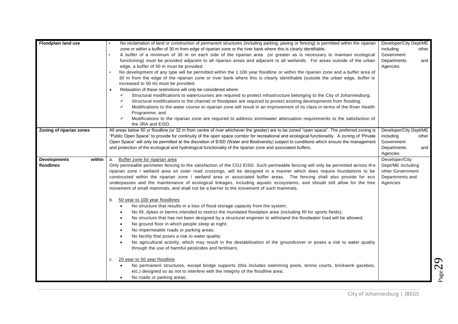| <b>Floodplain land use</b>                  | No reclamation of land or construction of permanent structures (including parking, paving or fencing) is permitted within the riparian<br>zone or within a buffer of 30 m from edge of riparian zone or the river bank where this is clearly identifiable.<br>A buffer of a minimum of 30 m on each side of the riparian area (or greater as is necessary to maintain ecological<br>functioning) must be provided adjacent to all riparian areas and adjacent to all wetlands. For areas outside of the urban<br>edge, a buffer of 50 m must be provided.<br>No development of any type will be permitted within the 1:100 year floodline or within the riparian zone and a buffer area of<br>30 m from the edge of the riparian zone or river bank where this is clearly identifiable (outside the urban edge, buffer is<br>increased to 50 m) must be provided.<br>Relaxation of these restrictions will only be considered where:<br>Structural modifications to watercourses are required to protect infrastructure belonging to the City of Johannesburg;<br>✓<br>Structural modifications to the channel or floodplain are required to protect existing developments from flooding;<br>✓<br>✓<br>Modifications to the water course or riparian zone will result in an improvement of its class in terms of the River Health<br>Programme; and<br>Modifications to the riparian zone are required to address stormwater attenuation requirements to the satisfaction of<br>✓<br>the JRA and EISD.                                                                                                                                                                   | Developer/City Dept/ME<br>including<br>other<br>Government<br>Departments<br>and<br>Agencies |
|---------------------------------------------|--------------------------------------------------------------------------------------------------------------------------------------------------------------------------------------------------------------------------------------------------------------------------------------------------------------------------------------------------------------------------------------------------------------------------------------------------------------------------------------------------------------------------------------------------------------------------------------------------------------------------------------------------------------------------------------------------------------------------------------------------------------------------------------------------------------------------------------------------------------------------------------------------------------------------------------------------------------------------------------------------------------------------------------------------------------------------------------------------------------------------------------------------------------------------------------------------------------------------------------------------------------------------------------------------------------------------------------------------------------------------------------------------------------------------------------------------------------------------------------------------------------------------------------------------------------------------------------------------------------------------------------------------------------------------|----------------------------------------------------------------------------------------------|
| Zoning of riparian zones                    | All areas below 50 yr floodline (or 32 m from centre of river whichever the greater) are to be zoned "open space". The preferred zoning is<br>"Public Open Space" to provide for continuity of the open space corridor for recreational and ecological functionality. A zoning of 'Private<br>Open Space" will only be permitted at the discretion of EISD (Water and Biodiversity) subject to conditions which ensure the management<br>and protection of the ecological and hydrological functionality of the riparian zone and associated buffers.                                                                                                                                                                                                                                                                                                                                                                                                                                                                                                                                                                                                                                                                                                                                                                                                                                                                                                                                                                                                                                                                                                                    | Developer/City Dept/ME<br>including<br>other<br>Government<br>Departments<br>and             |
|                                             |                                                                                                                                                                                                                                                                                                                                                                                                                                                                                                                                                                                                                                                                                                                                                                                                                                                                                                                                                                                                                                                                                                                                                                                                                                                                                                                                                                                                                                                                                                                                                                                                                                                                          | Agencies                                                                                     |
| <b>Developments</b><br>within<br>floodlines | Buffer zone for riparian area<br>а.<br>Only permeable perimeter fencing to the satisfaction of the COJ EISD. Such permeable fencing will only be permitted across the<br>riparian zone / wetland area on outer road crossings, will be designed in a manner which does require foundations to be<br>constructed within the riparian zone / wetland area or associated buffer areas. The fencing shall also provide for eco<br>underpasses and the maintenance of ecological linkages, including aquatic ecosystems, and should still allow for the free<br>movement of small mammals, and shall not be a barrier to the movement of such mammals.<br>50 year to 100 year floodlines<br>b.<br>No structure that results in a loss of flood storage capacity from the system;<br>No fill, dykes or berms intended to restrict the inundated floodplain area (including fill for sports fields);<br>$\bullet$<br>No structure that has not been designed by a structural engineer to withstand the floodwater load will be allowed;<br>$\bullet$<br>No ground floor in which people sleep at night;<br>No impermeable roads or parking areas;<br>No facility that poses a risk to water quality;<br>No agricultural activity, which may result in the destabilisation of the groundcover or poses a risk to water quality<br>through the use of harmful pesticides and fertilisers.<br>20 year to 50 year floodline<br>C.<br>No permanent structures, except bridge supports (this includes swimming pools, tennis courts, brickwork gazebos,<br>$\bullet$<br>etc.) designed so as not to interfere with the integrity of the floodline area;<br>No roads or parking areas; | Developer/City<br>Dept/ME including<br>other Government<br>Departments and<br>Agencies       |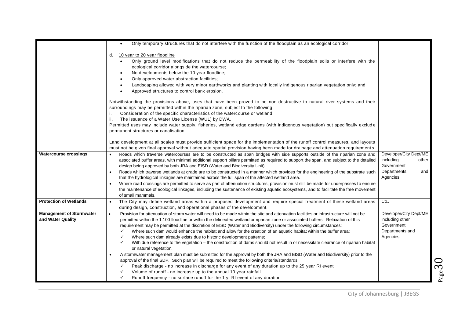|                                                      | Only temporary structures that do not interfere with the function of the floodplain as an ecological corridor.<br>٠                                                                                                                                                                                                                                                                                                                                                                                                                                                                                                                                                                                                                                                                                                                                                                                                                                                                                                                                                                                                                                                                                                                                                                                                                                        |                                                                                              |
|------------------------------------------------------|------------------------------------------------------------------------------------------------------------------------------------------------------------------------------------------------------------------------------------------------------------------------------------------------------------------------------------------------------------------------------------------------------------------------------------------------------------------------------------------------------------------------------------------------------------------------------------------------------------------------------------------------------------------------------------------------------------------------------------------------------------------------------------------------------------------------------------------------------------------------------------------------------------------------------------------------------------------------------------------------------------------------------------------------------------------------------------------------------------------------------------------------------------------------------------------------------------------------------------------------------------------------------------------------------------------------------------------------------------|----------------------------------------------------------------------------------------------|
|                                                      | 10 year to 20 year floodline<br>d.<br>Only ground level modifications that do not reduce the permeability of the floodplain soils or interfere with the<br>ecological corridor alongside the watercourse;<br>No developments below the 10 year floodline;<br>Only approved water abstraction facilities;<br>Landscaping allowed with very minor earthworks and planting with locally indigenous riparian vegetation only; and<br>Approved structures to control bank erosion.                                                                                                                                                                                                                                                                                                                                                                                                                                                                                                                                                                                                                                                                                                                                                                                                                                                                              |                                                                                              |
|                                                      | Notwithstanding the provisions above, uses that have been proved to be non-destructive to natural river systems and their<br>surroundings may be permitted within the riparian zone, subject to the following<br>Consideration of the specific characteristics of the watercourse or wetland<br>i.<br>ii.<br>The issuance of a Water Use License (WUL) by DWA.                                                                                                                                                                                                                                                                                                                                                                                                                                                                                                                                                                                                                                                                                                                                                                                                                                                                                                                                                                                             |                                                                                              |
|                                                      | Permitted uses may include water supply, fisheries, wetland edge gardens (with indigenous vegetation) but specifically exclude<br>permanent structures or canalisation.                                                                                                                                                                                                                                                                                                                                                                                                                                                                                                                                                                                                                                                                                                                                                                                                                                                                                                                                                                                                                                                                                                                                                                                    |                                                                                              |
|                                                      | Land development at all scales must provide sufficient space for the implementation of the runoff control measures, and layouts<br>must not be given final approval without adequate spatial provision having been made for drainage and attenuation requirements.                                                                                                                                                                                                                                                                                                                                                                                                                                                                                                                                                                                                                                                                                                                                                                                                                                                                                                                                                                                                                                                                                         |                                                                                              |
| <b>Watercourse crossings</b>                         | Roads which traverse watercourses are to be constructed as span bridges with side supports outside of the riparian zone and<br>$\bullet$<br>associated buffer areas, with minimal additional support pillars permitted as required to support the span, and subject to the detailed<br>design being approved by both JRA and EISD (Water and Biodiversity Unit).<br>Roads which traverse wetlands at grade are to be constructed in a manner which provides for the engineering of the substrate such<br>that the hydrological linkages are maintained across the full span of the affected wetland area.<br>Where road crossings are permitted to serve as part of attenuation structures, provision must still be made for underpasses to ensure<br>the maintenance of ecological linkages, including the sustenance of existing aquatic ecosystems, and to facilitate the free movement<br>of small mammals.                                                                                                                                                                                                                                                                                                                                                                                                                                            | Developer/City Dept/ME<br>including<br>other<br>Government<br>Departments<br>and<br>Agencies |
| <b>Protection of Wetlands</b>                        | The City may define wetland areas within a proposed development and require special treatment of these wetland areas<br>during design, construction, and operational phases of the development.                                                                                                                                                                                                                                                                                                                                                                                                                                                                                                                                                                                                                                                                                                                                                                                                                                                                                                                                                                                                                                                                                                                                                            | CoJ                                                                                          |
| <b>Management of Stormwater</b><br>and Water Quality | Provision for attenuation of storm water will need to be made within the site and attenuation facilities or infrastructure will not be<br>$\bullet$<br>permitted within the 1:100 floodline or within the delineated wetland or riparian zone or associated buffers. Relaxation of this<br>requirement may be permitted at the discretion of EISD (Water and Biodiversity) under the following circumstances:<br>$\checkmark$<br>Where such dam would enhance the habitat and allow for the creation of an aquatic habitat within the buffer area;<br>$\checkmark$<br>Where such dam already exists due to historic development patterns;<br>$\checkmark$<br>With due reference to the vegetation – the construction of dams should not result in or necessitate clearance of riparian habitat<br>or natural vegetation.<br>A stormwater management plan must be submitted for the approval by both the JRA and EISD (Water and Biodiversity) prior to the<br>approval of the final SDP. Such plan will be required to meet the following criteria/standards:<br>Peak discharge - no increase in discharge for any event of any duration up to the 25 year RI event<br>✓<br>Volume of runoff - no increase up to the annual 10 year rainfall<br>$\checkmark$<br>Runoff frequency - no surface runoff for the 1 yr RI event of any duration<br>$\checkmark$ | Developer/City Dept/ME<br>including other<br>Government<br>Departments and<br>Agencies       |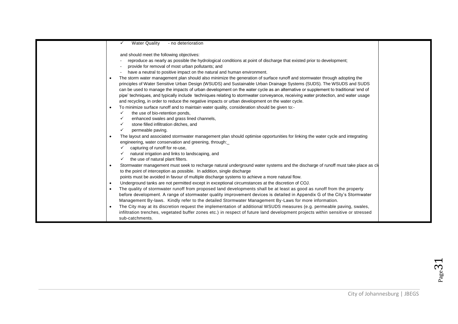| <b>Water Quality</b><br>- no deterioration                                                                                                      |
|-------------------------------------------------------------------------------------------------------------------------------------------------|
|                                                                                                                                                 |
| and should meet the following objectives:                                                                                                       |
| reproduce as nearly as possible the hydrological conditions at point of discharge that existed prior to development;                            |
| provide for removal of most urban pollutants; and                                                                                               |
| have a neutral to positive impact on the natural and human environment.                                                                         |
| The storm water management plan should also minimize the generation of surface runoff and stormwater through adopting the<br>$\bullet$          |
| principles of Water Sensitive Urban Design (WSUDS) and Sustainable Urban Drainage Systems (SUDS). The WSUDS and SUDS                            |
| can be used to manage the impacts of urban development on the water cycle as an alternative or supplement to traditional 'end of                |
| pipe' techniques, and typically include techniques relating to stormwater conveyance, receiving water protection, and water usage               |
| and recycling, in order to reduce the negative impacts or urban development on the water cycle.                                                 |
| To minimize surface runoff and to maintain water quality, consideration should be given to:-<br>$\bullet$                                       |
| the use of bio-retention ponds,<br>✓                                                                                                            |
| enhanced swales and grass lined channels,                                                                                                       |
| stone filled infiltration ditches, and                                                                                                          |
| permeable paving.                                                                                                                               |
| The layout and associated stormwater management plan should optimise opportunities for linking the water cycle and integrating                  |
| engineering, water conservation and greening, through:                                                                                          |
| capturing of runoff for re-use,                                                                                                                 |
| natural irrigation and links to landscaping, and                                                                                                |
| the use of natural plant filters.                                                                                                               |
| Stormwater management must seek to recharge natural underground water systems and the discharge of runoff must take place as close<br>$\bullet$ |
| to the point of interception as possible. In addition, single discharge                                                                         |
| points must be avoided in favour of multiple discharge systems to achieve a more natural flow.                                                  |
| Underground tanks are not permitted except in exceptional circumstances at the discretion of COJ.<br>$\bullet$                                  |
| The quality of stormwater runoff from proposed land developments shall be at least as good as runoff from the property                          |
| before development. A range of stormwater quality improvement devices is detailed in Appendix G of the City's Stormwater                        |
| Management By-laws. Kindly refer to the detailed Stormwater Management By-Laws for more information.                                            |
| The City may at its discretion request the implementation of additional WSUDS measures (e.g. permeable paving, swales,                          |
| infiltration trenches, vegetated buffer zones etc.) in respect of future land development projects within sensitive or stressed                 |
| sub-catchments.                                                                                                                                 |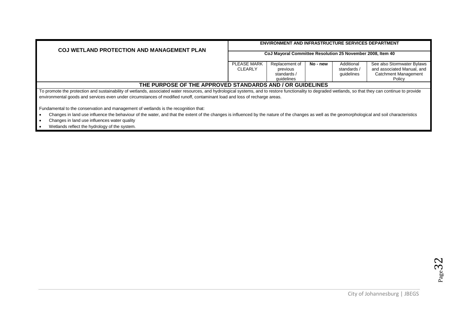| <b>COJ WETLAND PROTECTION AND MANAGEMENT PLAN</b>                                                                                                                                                                                                                                                                                     |                                                            | <b>ENVIRONMENT AND INFRASTRUCTURE SERVICES DEPARTMENT</b> |          |                                         |                                                                                         |
|---------------------------------------------------------------------------------------------------------------------------------------------------------------------------------------------------------------------------------------------------------------------------------------------------------------------------------------|------------------------------------------------------------|-----------------------------------------------------------|----------|-----------------------------------------|-----------------------------------------------------------------------------------------|
|                                                                                                                                                                                                                                                                                                                                       | CoJ Mayoral Committee Resolution 25 November 2008, Item 40 |                                                           |          |                                         |                                                                                         |
|                                                                                                                                                                                                                                                                                                                                       | <b>PLEASE MARK</b><br><b>CLEARLY</b>                       | Replacement of<br>previous<br>standards /                 | No - new | Additional<br>standards /<br>guidelines | See also Stormwater Bylaws<br>and associated Manual, and<br><b>Catchment Management</b> |
|                                                                                                                                                                                                                                                                                                                                       |                                                            | quidelines                                                |          |                                         | Policy                                                                                  |
| THE PURPOSE OF THE APPROVED STANDARDS AND / OR GUIDELINES                                                                                                                                                                                                                                                                             |                                                            |                                                           |          |                                         |                                                                                         |
| To promote the protection and sustainability of wetlands, associated water resources, and hydrological systems, and to restore functionality to degraded wetlands, so that they can continue to provide<br>environmental goods and services even under circumstances of modified runoff, contaminant load and loss of recharge areas. |                                                            |                                                           |          |                                         |                                                                                         |

Fundamental to the conservation and management of wetlands is the recognition that:

- Changes in land use influence the behaviour of the water, and that the extent of the changes is influenced by the nature of the changes as well as the geomorphological and soil characteristics
- Changes in land use influences water quality
- Wetlands reflect the hydrology of the system.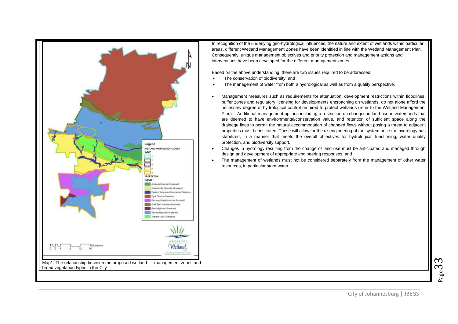

In recognition of the underlying geo-hydrological influences, the nature and extent of wetlands within particular areas, different Wetland Management Zones have been identified in line with the Wetland Management Plan. Consequently, unique management objectives and priority protection and management actions and interventions have been developed for the different management zones.

Based on the above understanding, there are two issues required to be addressed:

- The conservation of biodiversity, and
- The management of water from both a hydrological as well as from a quality perspective.
- Management measures such as requirements for attenuation, development restrictions within floodlines, buffer zones and regulatory licensing for developments encroaching on wetlands, do not alone afford the necessary degree of hydrological control required to protect wetlands (refer to the Wetland Management Plan). Additional management options including a restriction on changes in land use in watersheds that are deemed to have environmental/conservation value, and retention of sufficient space along the drainage lines to permit the natural accommodation of changed flows without posing a threat to adjacent properties must be instituted. These will allow for the re-engineering of the system once the hydrology has stabilized, in a manner that meets the overall objectives for hydrological functioning, water quality protection, and biodiversity support.
- Changes in hydrology resulting from the change of land use must be anticipated and managed through design and development of appropriate engineering responses, and
- The management of wetlands must not be considered separately from the management of other water resources, in particular stormwater.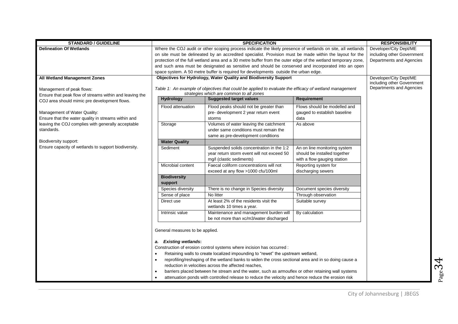| <b>STANDARD / GUIDELINE</b>                             |                                                                                                                   | <b>RESPONSIBILITY</b>                                                                                        |                              |                            |  |
|---------------------------------------------------------|-------------------------------------------------------------------------------------------------------------------|--------------------------------------------------------------------------------------------------------------|------------------------------|----------------------------|--|
| <b>Delineation Of Wetlands</b>                          | Where the COJ audit or other scoping process indicate the likely presence of wetlands on site, all wetlands       | Developer/City Dept/ME                                                                                       |                              |                            |  |
|                                                         | on site must be delineated by an accredited specialist. Provision must be made within the layout for the          | including other Government                                                                                   |                              |                            |  |
|                                                         |                                                                                                                   | protection of the full wetland area and a 30 metre buffer from the outer edge of the wetland temporary zone, |                              | Departments and Agencies   |  |
|                                                         |                                                                                                                   | and such area must be designated as sensitive and should be conserved and incorporated into an open          |                              |                            |  |
|                                                         |                                                                                                                   | space system. A 50 metre buffer is required for developments outside the urban edge.                         |                              |                            |  |
| <b>All Wetland Management Zones</b>                     |                                                                                                                   | Objectives for Hydrology, Water Quality and Biodiversity Support                                             |                              | Developer/City Dept/ME     |  |
|                                                         |                                                                                                                   |                                                                                                              |                              | including other Government |  |
| Management of peak flows:                               |                                                                                                                   | Table 1: An example of objectives that could be applied to evaluate the efficacy of wetland management       |                              | Departments and Agencies   |  |
| Ensure that peak flow of streams within and leaving the |                                                                                                                   | strategies which are common to all zones                                                                     |                              |                            |  |
| COJ area should mimic pre development flows.            | <b>Hydrology</b>                                                                                                  | <b>Suggested target values</b>                                                                               | Requirement                  |                            |  |
|                                                         | Flood attenuation                                                                                                 | Flood peaks should not be greater than                                                                       | Flows should be modelled and |                            |  |
| Management of Water Quality:                            |                                                                                                                   | pre- development 2 year return event                                                                         | gauged to establish baseline |                            |  |
| Ensure that the water quality in streams within and     |                                                                                                                   | storms                                                                                                       | data                         |                            |  |
| leaving the COJ complies with generally acceptable      | Storage                                                                                                           | Volumes of water leaving the catchment                                                                       | As above                     |                            |  |
| standards.                                              |                                                                                                                   | under same conditions must remain the                                                                        |                              |                            |  |
|                                                         |                                                                                                                   | same as pre-development conditions                                                                           |                              |                            |  |
| Biodiversity support:                                   | <b>Water Quality</b>                                                                                              |                                                                                                              |                              |                            |  |
| Ensure capacity of wetlands to support biodiversity.    | Sediment                                                                                                          | Suspended solids concentration in the 1:2                                                                    | An on line monitoring system |                            |  |
|                                                         |                                                                                                                   | year return storm event will not exceed 50                                                                   | should be installed together |                            |  |
|                                                         |                                                                                                                   | mg/l (clastic sediments)                                                                                     | with a flow gauging station  |                            |  |
|                                                         | Microbial content                                                                                                 | Faecal coliform concentrations will not                                                                      | Reporting system for         |                            |  |
|                                                         |                                                                                                                   | exceed at any flow >1000 cfu/100ml                                                                           | discharging sewers           |                            |  |
|                                                         | <b>Biodiversity</b>                                                                                               |                                                                                                              |                              |                            |  |
|                                                         | support                                                                                                           |                                                                                                              |                              |                            |  |
|                                                         | Species diversity                                                                                                 | There is no change in Species diversity                                                                      | Document species diversity   |                            |  |
|                                                         | Sense of place                                                                                                    | No litter                                                                                                    | Through observation          |                            |  |
|                                                         | Direct use                                                                                                        | At least 2% of the residents visit the                                                                       | Suitable survey              |                            |  |
|                                                         |                                                                                                                   | wetlands 10 times a year.                                                                                    |                              |                            |  |
|                                                         | Intrinsic value                                                                                                   | Maintenance and management burden will                                                                       | By calculation               |                            |  |
|                                                         |                                                                                                                   | be not more than xc/m3/water discharged                                                                      |                              |                            |  |
|                                                         |                                                                                                                   |                                                                                                              |                              |                            |  |
|                                                         | General measures to be applied.                                                                                   |                                                                                                              |                              |                            |  |
|                                                         |                                                                                                                   |                                                                                                              |                              |                            |  |
|                                                         | a. Existing wetlands:                                                                                             |                                                                                                              |                              |                            |  |
|                                                         | Construction of erosion control systems where incision has occurred :                                             |                                                                                                              |                              |                            |  |
|                                                         | Retaining walls to create localized impounding to "rewet" the upstream wetland,<br>$\bullet$                      |                                                                                                              |                              |                            |  |
|                                                         | reprofiling/reshaping of the wetland banks to widen the cross sectional area and in so doing cause a<br>$\bullet$ |                                                                                                              |                              |                            |  |
|                                                         | reduction in velocities across the affected reaches,                                                              |                                                                                                              |                              |                            |  |
|                                                         | $\bullet$                                                                                                         | barriers placed between he stream and the water, such as armouflex or other retaining wall systems           |                              |                            |  |
|                                                         |                                                                                                                   | attenuation ponds with controlled release to reduce the velocity and hence reduce the erosion risk           |                              |                            |  |
|                                                         |                                                                                                                   |                                                                                                              |                              |                            |  |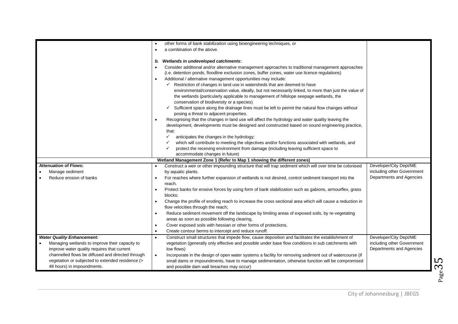|                                                   | other forms of bank stabilization using bioengineering techniques, or                                                 |                            |
|---------------------------------------------------|-----------------------------------------------------------------------------------------------------------------------|----------------------------|
|                                                   | a combination of the above.<br>$\bullet$                                                                              |                            |
|                                                   |                                                                                                                       |                            |
|                                                   | Wetlands in undeveloped catchments:<br>b.                                                                             |                            |
|                                                   | Consider additional and/or alternative management approaches to traditional management approaches                     |                            |
|                                                   | (i.e. detention ponds, floodline exclusion zones, buffer zones, water use licence regulations)                        |                            |
|                                                   | Additional / alternative management opportunities may include:<br>$\bullet$                                           |                            |
|                                                   | $\checkmark$ Restriction of changes in land use in watersheds that are deemed to have                                 |                            |
|                                                   | environmental/conservation value, ideally, but not necessarily linked, to more than just the value of                 |                            |
|                                                   | the wetlands (particularly applicable to management of hillslope seepage wetlands, the                                |                            |
|                                                   | conservation of biodiversity or a species)                                                                            |                            |
|                                                   | Sufficient space along the drainage lines must be left to permit the natural flow changes without                     |                            |
|                                                   | posing a threat to adjacent properties.                                                                               |                            |
|                                                   | Recognising that the changes in land use will affect the hydrology and water quality leaving the                      |                            |
|                                                   | development, developments must be designed and constructed based on sound engineering practice,                       |                            |
|                                                   | that:                                                                                                                 |                            |
|                                                   | anticipates the changes in the hydrology;                                                                             |                            |
|                                                   | which will contribute to meeting the objectives and/or functions associated with wetlands, and                        |                            |
|                                                   | protect the receiving environment from damage (including leaving sufficient space to<br>✓                             |                            |
|                                                   | accommodate changes in future)                                                                                        |                            |
|                                                   | Wetland Management Zone 1 (Refer to Map 1 showing the different zones)                                                |                            |
| <b>Attenuation of Flows:</b>                      | Construct a weir or other impounding structure that will trap sediment which will over time be colonised              | Developer/City Dept/ME     |
| Manage sediment                                   | by aquatic plants.                                                                                                    | including other Government |
| Reduce erosion of banks                           | For reaches where further expansion of wetlands is not desired, control sediment transport into the<br>$\bullet$      | Departments and Agencies   |
|                                                   | reach.                                                                                                                |                            |
|                                                   | Protect banks for erosive forces by using form of bank stabilization such as gabions, armourflex, grass<br>$\bullet$  |                            |
|                                                   | blocks:                                                                                                               |                            |
|                                                   | Change the profile of eroding reach to increase the cross sectional area which will cause a reduction in<br>$\bullet$ |                            |
|                                                   | flow velocities through the reach;                                                                                    |                            |
|                                                   | Reduce sediment movement off the landscape by limiting areas of exposed soils, by re-vegetating<br>$\bullet$          |                            |
|                                                   | areas as soon as possible following clearing,                                                                         |                            |
|                                                   | Cover exposed soils with hessian or other forms of protections,<br>$\bullet$                                          |                            |
|                                                   | Create contour berms to intercept and reduce runoff.<br>$\bullet$                                                     |                            |
| <b>Water Quality Enhancement:</b>                 | Construct small structures that impede flow, cause deposition and facilitates the establishment of<br>$\bullet$       | Developer/City Dept/ME     |
| Managing wetlands to improve their capacity to    | vegetation (generally only effective and possible under base flow conditions in sub catchments with                   | including other Government |
| improve water quality requires that current       | low flows)                                                                                                            | Departments and Agencies   |
| channelled flows be diffused and directed through | $\bullet$<br>Incorporate in the design of open water systems a facility for removing sediment out of watercourse (if  |                            |
| vegetation or subjected to extended residence (>  | small dams or impoundments, have to manage sedimentation, otherwise function will be compromised                      |                            |
| 48 hours) in impoundments.                        | and possible dam wall breaches may occur)                                                                             |                            |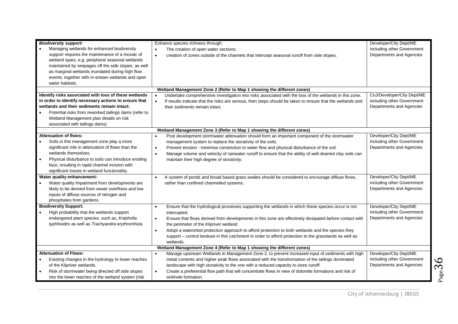| <b>Biodiversity support:</b>                                                                                                                                                                                                                                                                                                         | Enhance species richness through:                                                                                                                                                                                                                                                                                                                                                                                                                                                                                                          | Developer/City Dept/ME                                                               |
|--------------------------------------------------------------------------------------------------------------------------------------------------------------------------------------------------------------------------------------------------------------------------------------------------------------------------------------|--------------------------------------------------------------------------------------------------------------------------------------------------------------------------------------------------------------------------------------------------------------------------------------------------------------------------------------------------------------------------------------------------------------------------------------------------------------------------------------------------------------------------------------------|--------------------------------------------------------------------------------------|
| Managing wetlands for enhanced biodiversity<br>support requires the maintenance of a mosaic of<br>wetland types, e.g. peripheral seasonal wetlands<br>maintained by seepages off the side slopes, as well<br>as marginal wetlands inundated during high flow<br>events, together with in-stream wetlands and open<br>water habitats. | The creation of open water sections;<br>$\bullet$<br>creation of zones outside of the channels that intercept seasonal runoff from side slopes.<br>$\bullet$                                                                                                                                                                                                                                                                                                                                                                               | including other Government<br>Departments and Agencies                               |
|                                                                                                                                                                                                                                                                                                                                      | Wetland Management Zone 2 (Refer to Map 1 showing the different zones)                                                                                                                                                                                                                                                                                                                                                                                                                                                                     |                                                                                      |
| Identify risks associated with loss of these wetlands<br>in order to identify necessary actions to ensure that<br>wetlands and their sediments remain intact:<br>Potential risks from reworked tailings dams (refer to<br>Wetland Management plan details on risk<br>associated with tailings dams)                                  | Undertake comprehensive investigation into risks associated with the loss of the wetlands in this zone.<br>$\bullet$<br>If results indicate that the risks are serious, then steps should be taken to ensure that the wetlands and<br>$\bullet$<br>their sediments remain intact.                                                                                                                                                                                                                                                          | CoJ/Developer/City Dept/ME<br>including other Government<br>Departments and Agencies |
|                                                                                                                                                                                                                                                                                                                                      | Wetland Management Zone 3 (Refer to Map 1 showing the different zones)                                                                                                                                                                                                                                                                                                                                                                                                                                                                     |                                                                                      |
| <b>Attenuation of flows:</b><br>Soils in this management zone play a more<br>significant role in attenuation of flows than the<br>wetlands themselves.<br>Physical disturbance to soils can introduce eroding<br>face, resulting in rapid channel incision with<br>significant losses in wetland functionality.                      | Post development stormwater attenuation should form an important component of the stormwater<br>$\bullet$<br>management system to replace the storativity of the soils.<br>Prevent erosion - minimise constriction to water flow and physical disturbance of the soil.<br>$\bullet$<br>Manage volume and velocity of rainwater runoff to ensure that the ability of well-drained clay soils can<br>$\bullet$<br>maintain their high degree of storativity.                                                                                 | Developer/City Dept/ME<br>including other Government<br>Departments and Agencies     |
| Water quality enhancement:<br>Water quality impairment from developments are<br>likely to be derived from sewer overflows and low<br>inputs of diffuse sources of nitrogen and<br>phosphates from gardens.                                                                                                                           | A system of ponds and broad based grass swales should be considered to encourage diffuse flows,<br>$\bullet$<br>rather than confined channelled systems.                                                                                                                                                                                                                                                                                                                                                                                   | Developer/City Dept/ME<br>including other Government<br>Departments and Agencies     |
| <b>Biodiversity Support:</b><br>High probability that the wetlands support<br>endangered plant species, such as, Kniphofia<br>typhhoides as well as Trachyandra erythromhiza.                                                                                                                                                        | Ensure that the hydrological processes supporting the wetlands in which these species occur is not<br>$\bullet$<br>interrupted.<br>Ensure that flows derived from developments in this zone are effectively dissipated before contact with<br>$\bullet$<br>the perimeter of the Klipriver wetland.<br>Adopt a watershed protection approach to afford protection to both wetlands and the species they<br>$\bullet$<br>support - control landuse in this catchment in order to afford protection to the grasslands as well as<br>wetlands. | Developer/City Dept/ME<br>including other Government<br>Departments and Agencies     |
|                                                                                                                                                                                                                                                                                                                                      | Wetland Management Zone 4 (Refer to Map 1 showing the different zones)                                                                                                                                                                                                                                                                                                                                                                                                                                                                     |                                                                                      |
| <b>Attenuation of Flows:</b><br>Existing changes in the hydrology to lower reaches<br>of the Klipriver wetlands.<br>Risk of stormwater being directed off side slopes<br>into the lower reaches of the wetland system (risk                                                                                                          | Manage upstream Wetlands in Management Zone 2, to prevent increased input of sediments with high<br>metal contents and higher peak flows associated with the transformation of the tailings dominated<br>landscape with high storativity to the one with a reduced capacity to store runoff.<br>$\bullet$<br>Create a preferential flow path that will concentrate flows in view of dolomite formations and risk of<br>sinkhole formation.                                                                                                 | Developer/City Dept/ME<br>including other Government<br>Departments and Agencies     |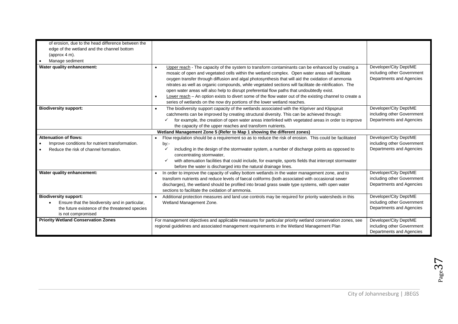| of erosion, due to the head difference between the<br>edge of the wetland and the channel bottom<br>(approx $4 \text{ m}$ ).<br>Manage sediment         |                                                                                                                                                                                                                                                                                                                                                                                                                                                                                                                                                                                                                                                                                                                     |                                                                                  |
|---------------------------------------------------------------------------------------------------------------------------------------------------------|---------------------------------------------------------------------------------------------------------------------------------------------------------------------------------------------------------------------------------------------------------------------------------------------------------------------------------------------------------------------------------------------------------------------------------------------------------------------------------------------------------------------------------------------------------------------------------------------------------------------------------------------------------------------------------------------------------------------|----------------------------------------------------------------------------------|
| Water quality enhancement:                                                                                                                              | Upper reach - The capacity of the system to transform contaminants can be enhanced by creating a<br>$\bullet$<br>mosaic of open and vegetated cells within the wetland complex. Open water areas will facilitate<br>oxygen transfer through diffusion and algal photosynthesis that will aid the oxidation of ammonia<br>nitrates as well as organic compounds, while vegetated sections will facilitate de-nitrification. The<br>open water areas will also help to disrupt preferential flow paths that undoubtedly exist.<br>Lower reach - An option exists to divert some of the flow water out of the existing channel to create a<br>series of wetlands on the now dry portions of the lower wetland reaches. | Developer/City Dept/ME<br>including other Government<br>Departments and Agencies |
| <b>Biodiversity support:</b>                                                                                                                            | The biodiversity support capacity of the wetlands associated with the Klipriver and Klipspruit<br>$\bullet$<br>catchments can be improved by creating structural diversity. This can be achieved through:<br>for example, the creation of open water areas interlinked with vegetated areas in order to improve<br>the capacity of the upper reaches and transform nutrients.                                                                                                                                                                                                                                                                                                                                       | Developer/City Dept/ME<br>including other Government<br>Departments and Agencies |
|                                                                                                                                                         | Wetland Management Zone 5 (Refer to Map 1 showing the different zones)                                                                                                                                                                                                                                                                                                                                                                                                                                                                                                                                                                                                                                              |                                                                                  |
| <b>Attenuation of flows:</b><br>Improve conditions for nutrient transformation.<br>Reduce the risk of channel formation.                                | Flow regulation should be a requirement so as to reduce the risk of erosion. This could be facilitated<br>by:-<br>including in the design of the stormwater system, a number of discharge points as opposed to<br>concentrating stormwater,<br>with attenuation facilities that could include, for example, sports fields that intercept stormwater<br>$\checkmark$<br>before the water is discharged into the natural drainage lines.                                                                                                                                                                                                                                                                              | Developer/City Dept/ME<br>including other Government<br>Departments and Agencies |
| Water quality enhancement:                                                                                                                              | In order to improve the capacity of valley bottom wetlands in the water management zone, and to<br>transform nutrients and reduce levels of faecal coliforms (both associated with occasional sewer<br>discharges), the wetland should be profiled into broad grass swale type systems, with open water<br>sections to facilitate the oxidation of ammonia.                                                                                                                                                                                                                                                                                                                                                         | Developer/City Dept/ME<br>including other Government<br>Departments and Agencies |
| <b>Biodiversity support:</b><br>Ensure that the biodiversity and in particular,<br>the future existence of the threatened species<br>is not compromised | Additional protection measures and land use controls may be required for priority watersheds in this<br>Wetland Management Zone.                                                                                                                                                                                                                                                                                                                                                                                                                                                                                                                                                                                    | Developer/City Dept/ME<br>including other Government<br>Departments and Agencies |
| <b>Priority Wetland Conservation Zones</b>                                                                                                              | For management objectives and applicable measures for particular priority wetland conservation zones, see<br>regional guidelines and associated management requirements in the Wetland Management Plan                                                                                                                                                                                                                                                                                                                                                                                                                                                                                                              | Developer/City Dept/ME<br>including other Government<br>Departments and Agencies |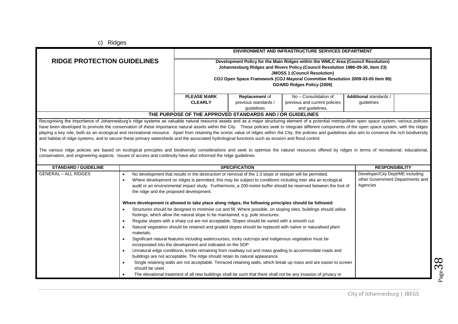c) Ridges

|                                                                                                                                                                                                                                                                                                                                                                                                                                                                                                                                                                                                                                                                                                                                                                                                                                                                                                                                                                                                                                                                                                       |                                                                                                                                                                                                                                                                                                                                                                                                                                                                                                                                                                                                                                                                                                                                                                                                                                                                                                                                                                                                                                                                                                                                                                                                                                                                      | <b>ENVIRONMENT AND INFRASTRUCTURE SERVICES DEPARTMENT</b> |                                                           |                                                                                                                                                                                                                                                                                                                                  |                                      |  |
|-------------------------------------------------------------------------------------------------------------------------------------------------------------------------------------------------------------------------------------------------------------------------------------------------------------------------------------------------------------------------------------------------------------------------------------------------------------------------------------------------------------------------------------------------------------------------------------------------------------------------------------------------------------------------------------------------------------------------------------------------------------------------------------------------------------------------------------------------------------------------------------------------------------------------------------------------------------------------------------------------------------------------------------------------------------------------------------------------------|----------------------------------------------------------------------------------------------------------------------------------------------------------------------------------------------------------------------------------------------------------------------------------------------------------------------------------------------------------------------------------------------------------------------------------------------------------------------------------------------------------------------------------------------------------------------------------------------------------------------------------------------------------------------------------------------------------------------------------------------------------------------------------------------------------------------------------------------------------------------------------------------------------------------------------------------------------------------------------------------------------------------------------------------------------------------------------------------------------------------------------------------------------------------------------------------------------------------------------------------------------------------|-----------------------------------------------------------|-----------------------------------------------------------|----------------------------------------------------------------------------------------------------------------------------------------------------------------------------------------------------------------------------------------------------------------------------------------------------------------------------------|--------------------------------------|--|
| <b>RIDGE PROTECTION GUIDELINES</b>                                                                                                                                                                                                                                                                                                                                                                                                                                                                                                                                                                                                                                                                                                                                                                                                                                                                                                                                                                                                                                                                    |                                                                                                                                                                                                                                                                                                                                                                                                                                                                                                                                                                                                                                                                                                                                                                                                                                                                                                                                                                                                                                                                                                                                                                                                                                                                      |                                                           |                                                           | Development Policy for the Main Ridges within the WMLC Area (Council Resolution)<br>Johannesburg Ridges and Rivers Policy (Council Resolution 1986-09-30, Item 23)<br><b>JMOSS 1 (Council Resolution)</b><br>COJ Open Space Framework (COJ Mayoral Committee Resolution 2009-03-05 Item 89)<br><b>GDARD Ridges Policy (2009)</b> |                                      |  |
|                                                                                                                                                                                                                                                                                                                                                                                                                                                                                                                                                                                                                                                                                                                                                                                                                                                                                                                                                                                                                                                                                                       |                                                                                                                                                                                                                                                                                                                                                                                                                                                                                                                                                                                                                                                                                                                                                                                                                                                                                                                                                                                                                                                                                                                                                                                                                                                                      | <b>PLEASE MARK</b><br><b>CLEARLY</b>                      | Replacement of<br>previous standards /<br>quidelines      | No - Consolidation of<br>previous and current policies<br>and guidelines.                                                                                                                                                                                                                                                        | Additional standards /<br>guidelines |  |
|                                                                                                                                                                                                                                                                                                                                                                                                                                                                                                                                                                                                                                                                                                                                                                                                                                                                                                                                                                                                                                                                                                       |                                                                                                                                                                                                                                                                                                                                                                                                                                                                                                                                                                                                                                                                                                                                                                                                                                                                                                                                                                                                                                                                                                                                                                                                                                                                      |                                                           | THE PURPOSE OF THE APPROVED STANDARDS AND / OR GUIDELINES |                                                                                                                                                                                                                                                                                                                                  |                                      |  |
| Recognising the importance of Johannesburg's ridge systems as valuable natural resource assets and as a major structuring element of a potential metropolitan open space system, various policies<br>have been developed to promote the conservation of these importance natural assets within the City. These policies seek to integrate different components of the open space system, with the ridges<br>playing a key role, both as an ecological and recreational resource. Apart from retaining the scenic value of ridges within the City, the policies and guidelines also aim to conserve the rich biodiversity<br>and habitat of ridge systems, and to secure these primary watersheds and the associated hydrological functions such as erosion and flood control.<br>The various ridge policies are based on ecological principles and biodiversity considerations and seek to optimise the natural resources offered by ridges in terms of recreational, educational,<br>conservation, and engineering aspects. Issues of access and continuity have also informed the ridge guidelines. |                                                                                                                                                                                                                                                                                                                                                                                                                                                                                                                                                                                                                                                                                                                                                                                                                                                                                                                                                                                                                                                                                                                                                                                                                                                                      |                                                           |                                                           |                                                                                                                                                                                                                                                                                                                                  |                                      |  |
| <b>STANDARD / GUIDELINE</b>                                                                                                                                                                                                                                                                                                                                                                                                                                                                                                                                                                                                                                                                                                                                                                                                                                                                                                                                                                                                                                                                           |                                                                                                                                                                                                                                                                                                                                                                                                                                                                                                                                                                                                                                                                                                                                                                                                                                                                                                                                                                                                                                                                                                                                                                                                                                                                      | <b>SPECIFICATION</b><br><b>RESPONSIBILITY</b>             |                                                           |                                                                                                                                                                                                                                                                                                                                  |                                      |  |
| <b>GENERAL - ALL RIDGES</b>                                                                                                                                                                                                                                                                                                                                                                                                                                                                                                                                                                                                                                                                                                                                                                                                                                                                                                                                                                                                                                                                           | No development that results in the destruction or removal of the 1:3 slope or steeper will be permitted.<br>Developer/City Dept/ME including<br>$\bullet$<br>other Government Departments and<br>Where development on ridges is permitted, this may be subject to conditions including inter alia an ecological<br>$\bullet$<br>Agencies<br>audit or an environmental impact study. Furthermore, a 200-metre buffer should be reserved between the foot of<br>the ridge and the proposed development.                                                                                                                                                                                                                                                                                                                                                                                                                                                                                                                                                                                                                                                                                                                                                                |                                                           |                                                           |                                                                                                                                                                                                                                                                                                                                  |                                      |  |
|                                                                                                                                                                                                                                                                                                                                                                                                                                                                                                                                                                                                                                                                                                                                                                                                                                                                                                                                                                                                                                                                                                       | Where development is allowed to take place along ridges, the following principles should be followed:<br>Structures should be designed to minimise cut and fill. Where possible, on sloping sites, buildings should utilise<br>$\bullet$<br>footings, which allow the natural slope to be maintained, e.g. pole structures.<br>Regular slopes with a sharp cut are not acceptable. Slopes should be varied with a smooth cut.<br>$\bullet$<br>Natural vegetation should be retained and graded slopes should be replaced with native or naturalised plant<br>$\bullet$<br>materials.<br>Significant natural features including watercourses, rocky outcrops and indigenous vegetation must be<br>$\bullet$<br>incorporated into the development and indicated on the SDP<br>Unnatural edge conditions, knobs remaining from roadway cut and mass grading to accommodate roads and<br>$\bullet$<br>buildings are not acceptable. The ridge should retain its natural appearance.<br>Single retaining walls are not acceptable. Terraced retaining walls, which break up mass and are easier to screen<br>$\bullet$<br>should be used.<br>The elevational treatment of all new buildings shall be such that there shall not be any invasion of privacy or<br>$\bullet$ |                                                           |                                                           |                                                                                                                                                                                                                                                                                                                                  |                                      |  |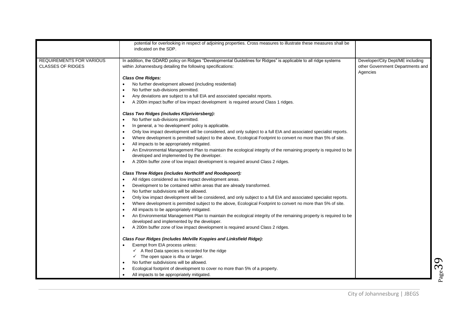|                                                             | potential for overlooking in respect of adjoining properties. Cross measures to illustrate these measures shall be<br>indicated on the SDP.                                     |                                                                                  |
|-------------------------------------------------------------|---------------------------------------------------------------------------------------------------------------------------------------------------------------------------------|----------------------------------------------------------------------------------|
| <b>REQUIREMENTS FOR VARIOUS</b><br><b>CLASSES OF RIDGES</b> | In addition, the GDARD policy on Ridges "Developmental Guidelines for Ridges" is applicable to all ridge systems<br>within Johannesburg detailing the following specifications: | Developer/City Dept/ME including<br>other Government Departments and<br>Agencies |
|                                                             | <b>Class One Ridges:</b>                                                                                                                                                        |                                                                                  |
|                                                             | No further development allowed (including residential)                                                                                                                          |                                                                                  |
|                                                             | No further sub-divisions permitted.                                                                                                                                             |                                                                                  |
|                                                             | Any deviations are subject to a full EIA and associated specialist reports.                                                                                                     |                                                                                  |
|                                                             | A 200m impact buffer of low impact development is required around Class 1 ridges.<br>$\bullet$                                                                                  |                                                                                  |
|                                                             | Class Two Ridges (includes Klipriviersberg):                                                                                                                                    |                                                                                  |
|                                                             | No further sub-divisions permitted.                                                                                                                                             |                                                                                  |
|                                                             | In general, a 'no development' policy is applicable.<br>$\bullet$                                                                                                               |                                                                                  |
|                                                             | Only low impact development will be considered, and only subject to a full EIA and associated specialist reports.                                                               |                                                                                  |
|                                                             | Where development is permitted subject to the above, Ecological Footprint to convert no more than 5% of site.<br>$\bullet$                                                      |                                                                                  |
|                                                             | All impacts to be appropriately mitigated.<br>$\bullet$                                                                                                                         |                                                                                  |
|                                                             | An Environmental Management Plan to maintain the ecological integrity of the remaining property is required to be<br>$\bullet$                                                  |                                                                                  |
|                                                             | developed and implemented by the developer.                                                                                                                                     |                                                                                  |
|                                                             | A 200m buffer zone of low impact development is required around Class 2 ridges.<br>$\bullet$                                                                                    |                                                                                  |
|                                                             | <b>Class Three Ridges (includes Northcliff and Roodepoort):</b>                                                                                                                 |                                                                                  |
|                                                             | All ridges considered as low impact development areas.<br>$\bullet$                                                                                                             |                                                                                  |
|                                                             | Development to be contained within areas that are already transformed.                                                                                                          |                                                                                  |
|                                                             | No further subdivisions will be allowed.                                                                                                                                        |                                                                                  |
|                                                             | Only low impact development will be considered, and only subject to a full EIA and associated specialist reports.<br>$\bullet$                                                  |                                                                                  |
|                                                             | Where development is permitted subject to the above, Ecological Footprint to convert no more than 5% of site.                                                                   |                                                                                  |
|                                                             | All impacts to be appropriately mitigated.<br>$\bullet$                                                                                                                         |                                                                                  |
|                                                             | An Environmental Management Plan to maintain the ecological integrity of the remaining property is required to be<br>$\bullet$                                                  |                                                                                  |
|                                                             | developed and implemented by the developer.                                                                                                                                     |                                                                                  |
|                                                             | A 200m buffer zone of low impact development is required around Class 2 ridges.<br>$\bullet$                                                                                    |                                                                                  |
|                                                             | Class Four Ridges (includes Melville Koppies and Linksfield Ridge):                                                                                                             |                                                                                  |
|                                                             | Exempt from EIA process unless:                                                                                                                                                 |                                                                                  |
|                                                             | $\checkmark$ A Red Data species is recorded for the ridge                                                                                                                       |                                                                                  |
|                                                             | $\checkmark$ The open space is 4ha or larger.                                                                                                                                   |                                                                                  |
|                                                             | No further subdivisions will be allowed.<br>$\bullet$                                                                                                                           |                                                                                  |
|                                                             | Ecological footprint of development to cover no more than 5% of a property.                                                                                                     |                                                                                  |
|                                                             | All impacts to be appropriately mitigated.<br>$\bullet$                                                                                                                         |                                                                                  |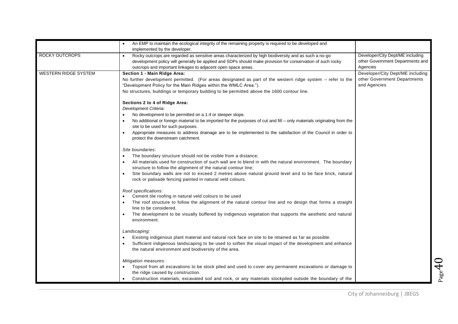|                             | An EMP to maintain the ecological integrity of the remaining property is required to be developed and                                                                                                                                                                                                                                           |                                                                                  |
|-----------------------------|-------------------------------------------------------------------------------------------------------------------------------------------------------------------------------------------------------------------------------------------------------------------------------------------------------------------------------------------------|----------------------------------------------------------------------------------|
|                             | implemented by the developer.                                                                                                                                                                                                                                                                                                                   |                                                                                  |
| ROCKY OUTCROPS              | Rocky outcrops are regarded as sensitive areas characterized by high biodiversity and as such a no-go<br>development policy will generally be applied and SDPs should make provision for conservation of such rocky<br>outcrops and important linkages to adjacent open space areas.                                                            | Developer/City Dept/ME including<br>other Government Departments and<br>Agencies |
| <b>WESTERN RIDGE SYSTEM</b> | Section 1 - Main Ridge Area:<br>No further development permitted. (For areas designated as part of the western ridge system – refer to the<br>"Development Policy for the Main Ridges within the WMLC Area.").<br>No structures, buildings or temporary building to be permitted above the 1600 contour line.<br>Sections 2 to 4 of Ridge Area: | Developer/City Dept/ME including<br>other Government Departments<br>and Agencies |
|                             | Development Criteria:                                                                                                                                                                                                                                                                                                                           |                                                                                  |
|                             | No development to be permitted on a 1:4 or steeper slope.                                                                                                                                                                                                                                                                                       |                                                                                  |
|                             | No additional or foreign material to be imported for the purposes of cut and fill – only materials originating from the<br>site to be used for such purposes.                                                                                                                                                                                   |                                                                                  |
|                             | Appropriate measures to address drainage are to be implemented to the satisfaction of the Council in order to<br>protect the downstream catchment.                                                                                                                                                                                              |                                                                                  |
|                             | Site boundaries:                                                                                                                                                                                                                                                                                                                                |                                                                                  |
|                             | The boundary structure should not be visible from a distance;                                                                                                                                                                                                                                                                                   |                                                                                  |
|                             | All materials used for construction of such wall are to blend in with the natural environment. The boundary<br>$\bullet$<br>structure to follow the alignment of the natural contour line;                                                                                                                                                      |                                                                                  |
|                             | Site boundary walls are not to exceed 2 metres above natural ground level and to be face brick, natural<br>rock or palisade fencing painted in natural veld colours.                                                                                                                                                                            |                                                                                  |
|                             | Roof specifications:                                                                                                                                                                                                                                                                                                                            |                                                                                  |
|                             | Cement tile roofing in natural veld colours to be used<br>The roof structure to follow the alignment of the natural contour line and no design that forms a straight<br>line to be considered.                                                                                                                                                  |                                                                                  |
|                             | The development to be visually buffered by indigenous vegetation that supports the aesthetic and natural<br>environment.                                                                                                                                                                                                                        |                                                                                  |
|                             | Landscaping:<br>Existing indigenous plant material and natural rock face on site to be retained as far as possible.<br>Sufficient indigenous landscaping to be used to soften the visual impact of the development and enhance<br>the natural environment and biodiversity of the area.                                                         |                                                                                  |
|                             | Mitigation measures:<br>Topsoil from all excavations to be stock piled and used to cover any permanent excavations or damage to<br>the ridge caused by construction.<br>Construction materials, excavated soil and rock, or any materials stockpiled outside the boundary of the                                                                |                                                                                  |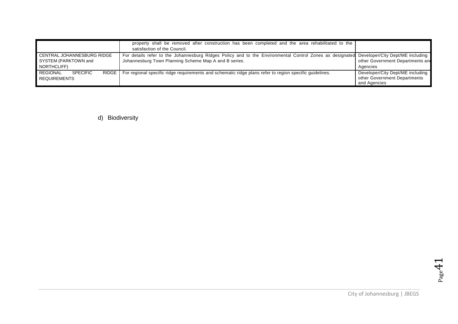|                                                                           | property shall be removed after construction has been completed and the area rehabilitated to the<br>satisfaction of the Council.                                                                  |                                                                                  |
|---------------------------------------------------------------------------|----------------------------------------------------------------------------------------------------------------------------------------------------------------------------------------------------|----------------------------------------------------------------------------------|
| CENTRAL JOHANNESBURG RIDGE<br>SYSTEM (PARKTOWN and<br>NORTHCLIFF)         | For details refer to the Johannesburg Ridges Policy and to the Environmental Control Zones as designated Developer/City Dept/ME including<br>Johannesburg Town Planning Scheme Map A and B series. | other Government Departments and<br>Agencies                                     |
| <b>RIDGE</b><br><b>REGIONAL</b><br><b>SPECIFIC</b><br><b>REQUIREMENTS</b> | For regional specific ridge requirements and schematic ridge plans refer to region specific quidelines.                                                                                            | Developer/City Dept/ME including<br>other Government Departments<br>and Agencies |

d) Biodiversity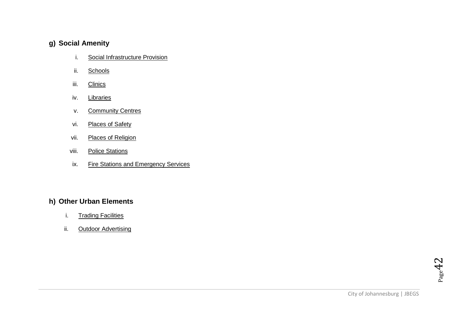### <span id="page-41-2"></span><span id="page-41-1"></span><span id="page-41-0"></span>**g) Social Amenity**

- i. Social Infrastructure Provision
- ii. Schools
- <span id="page-41-3"></span>iii. Clinics
- <span id="page-41-5"></span><span id="page-41-4"></span>iv. Libraries
- v. Community Centres
- <span id="page-41-6"></span>vi. Places of Safety
- <span id="page-41-7"></span>vii. Places of Religion
- <span id="page-41-9"></span><span id="page-41-8"></span>viii. Police Stations
- ix. Fire Stations and Emergency Services

### <span id="page-41-12"></span><span id="page-41-11"></span><span id="page-41-10"></span>**h) Other Urban Elements**

- i. Trading Facilities
- ii. Outdoor Advertising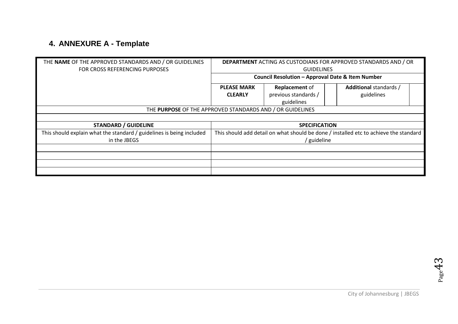# <span id="page-42-0"></span>**4. ANNEXURE A - Template**

| THE NAME OF THE APPROVED STANDARDS AND / OR GUIDELINES<br>FOR CROSS REFERENCING PURPOSES | <b>DEPARTMENT ACTING AS CUSTODIANS FOR APPROVED STANDARDS AND / OR</b><br><b>GUIDELINES</b> |                                                             |                                                                                       |
|------------------------------------------------------------------------------------------|---------------------------------------------------------------------------------------------|-------------------------------------------------------------|---------------------------------------------------------------------------------------|
|                                                                                          | <b>Council Resolution - Approval Date &amp; Item Number</b>                                 |                                                             |                                                                                       |
|                                                                                          | <b>PLEASE MARK</b><br><b>CLEARLY</b>                                                        | <b>Replacement of</b><br>previous standards /<br>guidelines | Additional standards /<br>guidelines                                                  |
| THE PURPOSE OF THE APPROVED STANDARDS AND / OR GUIDELINES                                |                                                                                             |                                                             |                                                                                       |
|                                                                                          |                                                                                             |                                                             |                                                                                       |
| <b>STANDARD / GUIDELINE</b>                                                              |                                                                                             | <b>SPECIFICATION</b>                                        |                                                                                       |
| This should explain what the standard / guidelines is being included                     |                                                                                             |                                                             | This should add detail on what should be done / installed etc to achieve the standard |
| in the JBEGS                                                                             |                                                                                             | ' guideline                                                 |                                                                                       |
|                                                                                          |                                                                                             |                                                             |                                                                                       |
|                                                                                          |                                                                                             |                                                             |                                                                                       |
|                                                                                          |                                                                                             |                                                             |                                                                                       |
|                                                                                          |                                                                                             |                                                             |                                                                                       |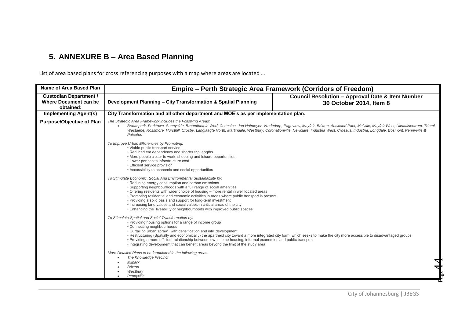# <span id="page-43-0"></span>**5. ANNEXURE B – Area Based Planning**

List of area based plans for cross referencing purposes with a map where areas are located ...

| Name of Area Based Plan                                                    | Empire – Perth Strategic Area Framework (Corridors of Freedom)                                                                                                                                                                                                                                                                                                                                                                                                                                                                                                                                                  |                                                                                        |
|----------------------------------------------------------------------------|-----------------------------------------------------------------------------------------------------------------------------------------------------------------------------------------------------------------------------------------------------------------------------------------------------------------------------------------------------------------------------------------------------------------------------------------------------------------------------------------------------------------------------------------------------------------------------------------------------------------|----------------------------------------------------------------------------------------|
| <b>Custodian Department /</b><br><b>Where Document can be</b><br>obtained: | Development Planning - City Transformation & Spatial Planning                                                                                                                                                                                                                                                                                                                                                                                                                                                                                                                                                   | <b>Council Resolution - Approval Date &amp; Item Number</b><br>30 October 2014, Item 8 |
| <b>Implementing Agent(s)</b>                                               | City Transformation and all other department and MOE's as per implementation plan.                                                                                                                                                                                                                                                                                                                                                                                                                                                                                                                              |                                                                                        |
| <b>Purpose/Objective of Plan</b>                                           | The Strategic Area Framework includes the Following Areas:<br>Braampark, Parktown, Sunnyside, Braamfontein Werf, Cottesloe, Jan Hofmeyer, Vrededorp, Pageview, Mayfair, Brixton, Auckland Park, Melville, Mayfair West, Uitsaaisentrum, Triomf,<br>Westdene, Rossmore, Hursthill, Crosby, Langlaagte North, Martindale, Westbury, Coronationville, Newclare, Industria West, Croesus, Industria, Longdale, Bosmont, Pennyville &<br>Putcoton                                                                                                                                                                    |                                                                                        |
|                                                                            | To Improve Urban Efficiencies by Promoting:<br>• Viable public transport service<br>• Reduced car dependency and shorter trip lengths<br>• More people closer to work, shopping and leisure opportunities<br>• Lower per capita infrastructure cost<br>• Efficient service provision<br>• Accessibility to economic and social opportunities                                                                                                                                                                                                                                                                    |                                                                                        |
|                                                                            | To Stimulate Economic, Social And Environmental Sustainability by:<br>• Reducing energy consumption and carbon emissions<br>. Supporting neighbourhoods with a full range of social amenities<br>• Offering residents with wider choice of housing - more rental in well located areas<br>• Promoting residential and economic activities in areas where public transport is present<br>• Providing a solid basis and support for long-term investment<br>• Increasing land values and social values in critical areas of the city<br>. Enhancing the liveability of neighbourhoods with improved public spaces |                                                                                        |
|                                                                            | To Stimulate Spatial and Social Transformation by:<br>• Providing housing options for a range of income group<br>• Connecting neighbourhoods<br>• Curtailing urban sprawl, with densification and infill development<br>• Restructuring (Spatially and economically) the apartheid city toward a more integrated city form, which seeks to make the city more accessible to disadvantaged groups<br>• Providing a more efficient relationship between low-income housing, informal economies and public transport<br>• Integrating development that can benefit areas beyond the limit of the study area        |                                                                                        |
|                                                                            | More Detailed Plans to be formulated in the following areas:<br><b>The Knowledge Precinct</b><br>Milpark<br>$\bullet$<br><b>Brixton</b><br>Westbury<br>Pennyville                                                                                                                                                                                                                                                                                                                                                                                                                                               |                                                                                        |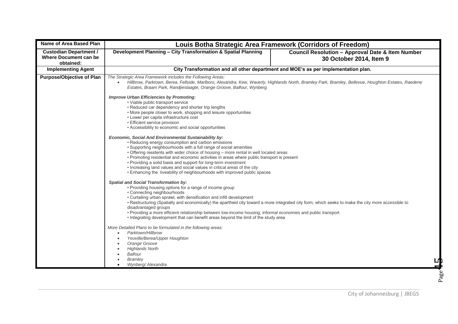| <b>Name of Area Based Plan</b>                                      | Louis Botha Strategic Area Framework (Corridors of Freedom)                                                                                                                                                                                                                                                                                                                                                                                                                                                                                                                                           |                                                                                        |  |
|---------------------------------------------------------------------|-------------------------------------------------------------------------------------------------------------------------------------------------------------------------------------------------------------------------------------------------------------------------------------------------------------------------------------------------------------------------------------------------------------------------------------------------------------------------------------------------------------------------------------------------------------------------------------------------------|----------------------------------------------------------------------------------------|--|
| <b>Custodian Department /</b><br>Where Document can be<br>obtained: | Development Planning - City Transformation & Spatial Planning                                                                                                                                                                                                                                                                                                                                                                                                                                                                                                                                         | <b>Council Resolution - Approval Date &amp; Item Number</b><br>30 October 2014, Item 9 |  |
| <b>Implementing Agent</b>                                           | City Transformation and all other department and MOE's as per implementation plan.                                                                                                                                                                                                                                                                                                                                                                                                                                                                                                                    |                                                                                        |  |
| <b>Purpose/Objective of Plan</b>                                    | The Strategic Area Framework includes the Following Areas:<br>Hillbrow, Parktown, Berea, Fellside, Marlboro, Alexandra, Kew, Waverly, Highlands North, Bramley Park, Bramley, Bellevue, Houghton Estates, Raedene<br>Estates, Braam Park, Randjieslaagte, Orange Groove, Balfour, Wynberg.                                                                                                                                                                                                                                                                                                            |                                                                                        |  |
|                                                                     | <b>Improve Urban Efficiencies by Promoting:</b><br>• Viable public transport service<br>• Reduced car dependency and shorter trip lengths<br>• More people closer to work, shopping and leisure opportunities<br>• Lower per capita infrastructure cost<br>• Efficient service provision<br>• Accessibility to economic and social opportunities                                                                                                                                                                                                                                                      |                                                                                        |  |
|                                                                     | Economic, Social And Environmental Sustainability by:<br>• Reducing energy consumption and carbon emissions<br>• Supporting neighbourhoods with a full range of social amenities<br>• Offering residents with wider choice of housing - more rental in well located areas<br>• Promoting residential and economic activities in areas where public transport is present<br>• Providing a solid basis and support for long-term investment<br>• Increasing land values and social values in critical areas of the city<br>. Enhancing the liveability of neighbourhoods with improved public spaces    |                                                                                        |  |
|                                                                     | <b>Spatial and Social Transformation by:</b><br>• Providing housing options for a range of income group<br>• Connecting neighbourhoods<br>• Curtailing urban sprawl, with densification and infill development<br>• Restructuring (Spatially and economically) the apartheid city toward a more integrated city form, which seeks to make the city more accessible to<br>disadvantaged groups<br>• Providing a more efficient relationship between low-income housing, informal economies and public transport<br>• Integrating development that can benefit areas beyond the limit of the study area |                                                                                        |  |
|                                                                     | More Detailed Plans to be formulated in the following areas:<br>Parktown/Hillbrow<br>$\bullet$<br>Yeoville/Berea/Upper Houghton<br>Orange Groove<br><b>Highlands North</b><br><b>Balfour</b><br><b>Bramley</b><br>Wynberg/ Alexandra                                                                                                                                                                                                                                                                                                                                                                  |                                                                                        |  |